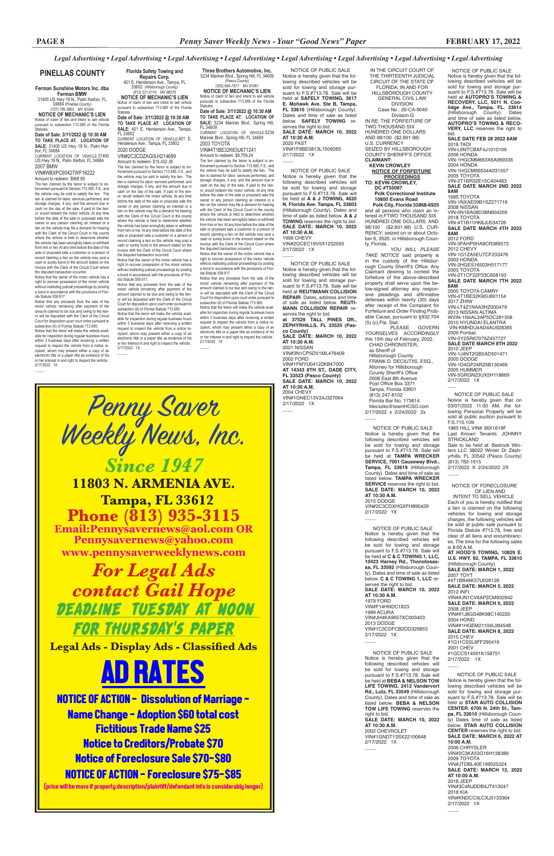NOTICE OF PUBLIC SALE Notice is hereby given that the fol-lowing described vehicles will be sold for towing and storage pur-suant to F.S.#713.78. Sale will be held at **AUTOPRO'S TOWING & RECOVERY, LLC, 5011 N. Coolidge Ave., Tampa, FL. 33614**<br>(Hillsborough County). Dates<br>and time of sale as listed below. **AUTOPRO'S TOWING & RECO-VERY, LLC** reserves the right to

VIN-1D4GP24R25B130469 2005 HUMMER VIN-5GRGN23UX5H118669 2/17/2022 1X  $\overline{\phantom{a}}$ 

bid. **SALE DATE FEB 28 2022 8AM** 2018 TAOI VIN-L9NTCBAF4J1010109 2006 HONDA<br>VIN-1HGCMM663X6A069336 2004 HONDA<br>VIN-1HGCM66534A031557 2005 TOYOTA VIN-2T1BR32E15C404463 **SALE DATE MARCH 2ND 2022 8AM** 1995 TOYOTA VIN-1NXAE09B1SZ271716 2008 NISSAN VIN-5N1BA08D38N604259 2018 TOYOTA VIN-4T1B11HK8JU534726 **SALE DATE MARCH 4TH 2022 8AM** 2012 FORD VIN-3FAHP0HA8CR389573 2012 CHEVY VIN-1G1ZA5EU7CF233476 2003 HONDA VIN-2HGES16503H517177 2003 TOYOTA VIN-2T1CF22P23C608193 **SALE DATE MARCH 7TH 2022 8AM**

2/17/2022 X 2/24/2022 2X  $\overline{\phantom{a}}$ 

VIN##1HGEM21104L084548 **SALE DATE: MARCH 8, 2022** 2015 CHEV #1G11C5SL9FF295419 2001 CHEV #1GCCS14591K158751 2/17/2022 1X  $\overline{\phantom{a}}$ 

2005 TOYOTA CAMRY VIN-4T1BE32K95U601154 2017 ZHIW VIN-LT4Z1NAA3HZ000479 2013 NISSAN ALTIMA<br>WVIN-1N4AL3AP5DC281358 2010 HYUNDAI ELANTRA VIN-KMHDU4AD4AU928365 2009 Pontiac VIN-5Y2SR67079Z457727 **SALE DATE MARCH 8TH 2022** 2010 JEEP VIN-1J4NT2GB5AD501471 2005 DODGE

 NOTICE OF PUBLIC SALE Notice is hereby given that on 03/07/2022 11:00 AM, the following Personal Property will be sold at public auction pursuant to F.S.715.109: 1965 HILL VIN# 36X1619F Last Known Tenants: JOHNNY STRICKLAND Sale to be held at: Bedrock Win-

ters LLC 38022 Winter Dr Zephyrhills, FL 33542 (Pasco County) (813) 782-1615

 NOTICE OF FORECLOSURE OF LIEN AND

 INTENT TO SELL VEHICLE Each of you is hereby notified that a lien is claimed on the following vehicles for towing and storage charges, the following vehicles will be sold at public sale pursuant to Florida Statute #713.78, free and clear of all liens and encumbrances. The time for the following sales is 8:00 A.M.

PLEASE GOVERN YOURSELVES ACCORDINGLY this 15th day of February, 2022. CHAD CHRONISTER, as Sheriff of Hillsborough County FRANK D. DECIUTIIS, ESQ., Attorney for Hillsborough County Sheriff's Office 2008 East 8th Avenue Post Office Box 3371 Tampa, Florida 33601 (813) 247-8102 Florida Bar No. 173614 fdeciutiis@teamHCSO.com 2/17/2022 x 2/24/2022 2x  $\overline{\phantom{a}}$ 

> **AT HOOD'S TOWING, 10829 E. U.S. HWY. 92, TAMPA, FL 33610**  (Hillsborough County). **SALE DATE: MARCH 1, 2022** 2007 TOYT #4T1BB46K57U026126 **SALE DATE: MARCH 5, 2022** 2012 INFI VIN##JN1CV6AP2CM932942 **SALE DATE: MARCH 6, 2022**

2008 JEEP VIN##1J8GS48K98C140220 2004 HOND

 NOTICE OF PUBLIC SALE Notice is hereby given that the following described vehicles will be sold for towing and storage pursuant to F.S.#713.78. Sale will be held at **C & C TOWING 1, LLC, 10423 Harney Rd., Thonotosassa, FL 33592** (Hillsborough County). Dates and time of sale as listed below. **C & C TOWING 1, LLC** reserves the right to bid. **SALE DATE: MARCH 10, 2022 AT 10:30 A.M.** 1979 FORD VIN#F14HNDC1823 1999 ACURA VIN#JH4KA9657XC003403 2013 DODGE 2DD329853

2/17/2022 1X  $\overline{\phantom{a}}$ 

 NOTICE OF PUBLIC SALE Notice is hereby given that the following described vehicles will be sold for towing and storage pursuant to F.S.#713.78. Sale v be held at **BEBA & NELSON TOW LIFE TOWING, 2412 Vandervort Rd., Lutz, FL 33549** (Hillsborough County). Dates and time of sale as listed below. **BEBA & NELSON TOW LIFE TOWING** reserves the right to bid. **SALE DATE: MARCH 10, 2022 AT 10:30 A.M.** 2002 CHEVROLET VIN#1GNDT13SX22100648 2/17/2022 1X  $\overline{\phantom{a}}$ 

 NOTICE OF PUBLIC SALE Notice is hereby given that the following described vehicles will be sold for towing and storage pursuant to F.S.#713.78. Sale will be held at **STAR AUTO COLLISION CENTER**, **6705 N. 24th St., Tampa, FL 33610** (Hillsborough County) Dates time of sale as listed below. **STAR AUTO COLLISION CENTER** reserves the right to bid. **SALE DATE: MARCH 6, 2022 AT 10:00 A.M.** 2006 CHRYSLER VIN#2C3KA53G16H138389 2009 TOYOTA VIN#JTDBL40E199025324 **SALE DATE: MARCH 12, 2022 AT 10:00 A.M.** 2018 JEEP VIN#3C4NJDDB4JT413047 2018 KIA VIN#KNDCC3LCXJ5133364 2/17/2022 1X

 $\overline{\phantom{a}}$ 

 NOTICE OF PUBLIC SALE Notice is hereby given that the following described vehicles will be sold for towing and storage pursuant to F.S.#713.78. Sale will be held at **SAFELY TOWING, 3617 E. Mohawk Ave. Ste B, Tampa, FL 33610** (Hillsborough County). Dates and time of sale as listed below. **SAFELY TOWING** reserves the right to bid. **SALE DATE: MARCH 10, 2022 AT 10:30 A.M.** 2020 FAST VIN#1F9BE0813L1509265 2/17/2022 1X  $\overline{\phantom{a}}$ 

IN THE CIRCUIT COURT OF THE THIRTEENTH JUDICIAL CIRCUIT OF THE STATE OF FLORIDA, IN AND FOR HILLSBOROUGH COUNTY GENERAL CIVIL LAW DIVISION Case No.: 20-CA-9040

 Division:G IN RE: THE FORFEITURE OF TWO THOUSAND SIX HUNDRED ONE DOLLARS AND 98/100 (\$2,601.98) U.S. CURRENCY SEIZED BY HILLSBOROUGH COUNTY SHERIFF'S OFFICE **CLAIMANT: KEVIN CROWLEY**

VIN#2GCEC19V5X1232593 2/17/2022 1X  $\overline{\phantom{a}}$ 

 **NOTICE OF FORFEITURE PROCEEDINGS TO: KEVIN CROWLEY,**

 **DC #T55087 Polk Correctional Institute 10800 Evans Road**

 **Polk City, Florida 33868-6925** and all persons who claim an interest in:FTWO THOUSAND SIX HUNDRED ONE DOLLARS AND 98/100 (\$2,601.98) U.S. CUR-RENCY; seized on or about October 6, 2020, in Hillsborough County, Florida.

pursuant to subsection 713.585 of the Florida .<br>Statutes

**Date of Sale: 3/11/2022 @ 10:30 AM TO TAKE PLACE AT: LOCATION OF SALE:** 31400 US Hwy 19 N., Palm Har-<br>bor, FL 34684

> *YOU WILL PLEASE TAKE NOTICE* said property is in the custody of the Hillsborough County Sheriff's Office. Any Claimant desiring to contest the forfeiture of the above-described property shall serve upon the below-signed attorney any responsive pleadings and affirmative defenses within twenty (20) days after receipt of the Complaint for Forfeiture and Order Finding Probable Cause, pursuant to §932.704 (5) (c),Fla. Stat.

 NOTICE OF PUBLIC SALE Notice is hereby given that the following described vehicles will be sold for towing and storage pursuant to F.S.#713.78. Sale will be held at **TAMPA WRECKER SERVICE, 7001 Causeway Blvd., Tampa, FL 33619** (Hillsborough County). Dates and time of sale as listed below. **TAMPA WRECKER SERVICE** reserves the right to bid. **SALE DATE: MARCH 10, 2022 AT 10:30 A.M.** 2015 DODGE VIN#2C3CDXHGXFH890429 2/17/2022 1X

 $\overline{\phantom{a}}$ 

(Pasco County) (352) 684-7877 MV 97481 **NOTICE OF MECHANIC'S LIEN** Notice of claim of lien and intent to sell vehicle pursuant to subsection 713.585 of the Florida **Statutes** 

**Florida Safety Towing and Repairs Corp.**<br>
401 E. Henderson Ave., Tampa, FL<br>
33602 (Hillsborough County)<br>
(813) 221-0110 MV 98375

> NOTICE OF PUBLIC SALE Notice is hereby given that the following described vehicles will be sold for towing and storage pursuant to F.S.#713.78. Sale will be held at **A & J TOWING, 4620 N. Florida Ave. Tampa, FL 33603**  (Hillsborough County). Dates and time of sale as listed below. **A & J TOWING** reserves the right to bid. **SALE DATE: MARCH 10, 2022 AT 10:30 A.M.** 1999 CHEVY

 NOTICE OF PUBLIC SALE Notice is hereby given that the following described vehicles will be sold for towing and storage pursuant to F.S.#713.78. Sale will be held at **REUTIMANN COLLISION REPAIR**. Dates, address and time of sale as listed below. **REUTI-MANN COLLISION REPAIR** reserves the right to bid.

cipient, whom may present either a copy of an electronic title or a paper title as evidence of his or her interest in and right to inspect the vehicle. 2/17/2022 1X  $\mathcal{L}$ 

**PINELLAS COUNTY** Florida Safety Towing and Three Brothers Automotive, Inc.<br> **Repairs Corp.** 5234 Mariner Blvd., Spring Hill, FL 34609

**at 37529 TALL PINES DR., ZEPHYRHILLS, FL 33525 (Pasco County) SALE DATE: MARCH 10, 2022** 

**AT 10:30 A.M.** 2021 NISSAN VIN#3N1CP5DV1ML476409 2002 FORD VIN#1FMYU04122KB47000 **AT 14343 8TH ST., DADE CITY, FL 33523 (Pasco County) SALE DATE: MARCH 10, 2022 AT 10:30 A.M.** 2004 CHEVY VIN#1GNEC13V24J327064 2/17/2022 1X

 $\overline{\phantom{a}}$ 

#### **Ferman Sunshine Motors Inc. dba Ferman BMW**

31400 US Hwy 19 N., Palm Harbor, FL 34684 (Pinellas County) (727) 785-3900 MV 43349

**NOTICE OF MECHANIC'S LIEN** Notice of claim of lien and intent to sell vehicle

CURRENT LOCATION OF VEHICLE:31400 US Hwy 19 N., Palm Harbor, FL 34684 2007 BMW

#### VIN#WBXPC93427WF16222 Amount to redeem: \$968.99

The lien claimed by the lienor is subject to en-forcement pursuant to Section 713.585, F.S., and the vehicle may be sold to satisfy the lien. The lien is claimed for labor, services performed, and storage charges, if any, and the amount due in cash on the day of the sale, if paid to the lienor, would redeem the motor vehicle. At any time before the date of the sale or proposed sale the owner or any person claiming an interest or a lien on the vehicle may file a demand for hearing with the Clerk of the Circuit Court in the county where the vehicle is held to determine whethe the vehicle has been wrongfully taken or withheld from him or her. At any time before the date of the sale or proposed sale a customer or a person of record claiming a lien on the vehicle may post a cash or surety bond in the amount stated on the invoice with the Clerk of the Circuit Court where

the disputed transaction occurred. Notice that the owner of the motor vehicle has a right to recover possession of the motor vehicle without instituting judicial proceedings by posting a bond in accordance with the provisions of Florida Statute 559.917.

Notice that any proceeds from the sale of the motor vehicle remaining after payment of the amount claimed to be due and owing to the lien-or will be deposited with the Clerk of the Circuit Court for disposition upon court order pursuant to subsection (6) of Florida Statute 713.585.

Notice that the lienor will make the vehicle avail-able for inspection during regular business hours within 3 business days after receiving a written request to inspect the vehicle from a notice re-cipient, whom may present either a copy of an electronic title or a paper title as evidence of his or her interest in and right to inspect the vehicle. 2/17/2022 1X

 $\overline{\phantom{a}}$ 

**Date of Sale: 3/11/2022 @ 10:30 AM TO TAKE PLACE AT: LOCATION OF SALE:** 5234 Mariner Blvd., Spring Hill, FL 34609

CURRENT LOCATION OF VEHICLE:5234 Mariner Blvd., Spring Hill, FL 34609 2003 TOYOTA

VIN#4T1BE32K63U671241 Amount to redeem: \$8,759.24

The lien claimed by the lienor is subject to en-forcement pursuant to Section 713.585, F.S., and the vehicle may be sold to satisfy the lien. The lien is claimed for labor, services performed, and storage charges, if any, and the amount due in cash on the day of the sale, if paid to the lienor, would redeem the motor vehicle. At any time before the date of the sale or proposed sale the owner or any person claiming an interest or a lien on the vehicle may file a demand for hearing with the Clerk of the Circuit Court in the county where the vehicle is held to determine whethe the vehicle has been wrongfully taken or withheld from him or her. At any time before the date of the sale or proposed sale a customer or a person of record claiming a lien on the vehicle may post a cash or surety bond in the amount stated on the invoice with the Clerk of the Circuit Court where

the disputed transaction occurred. Notice that the owner of the motor vehicle has a right to recover possession of the motor vehicle without instituting judicial proceedings by posting a bond in accordance with the provisions of Flor-ida Statute 559.917.

Notice that any proceeds from the sale of the motor vehicle remaining after payment of the amount claimed to be due and owing to the lienor will be deposited with the Clerk of the Circuit Court for disposition upon court order pursuant to subsection (6) of Florida Statute 713.585.

Notice that the lienor will make the vehicle avail-able for inspection during regular business hours within 3 business days after receiving a written request to inspect the vehicle from a notice re-cipient, whom may present either a copy of an electronic title or a paper title as evidence of his or her interest in and right to inspect the vehicle. 2/17/2022 1X

 $\mathcal{L}$ 

**NOTICE OF MECHANIC'S LIEN** Notice of claim of lien and intent to sell vehicle pursuant to subsection 713.585 of the Florida Statutes.

**Date of Sale: 3/11/2022 @ 10:30 AM TO TAKE PLACE AT: LOCATION OF SALE:** 401 E. Henderson Ave., Tampa, FL 33602

CURRENT LOCATION OF VEHICLE:401 E. Henderson Ave., Tampa, FL 33602 2020 DODGE VIN#2C3CDZAG0LH214699

Amount to redeem: \$15,432.38 The lien claimed by the lienor is subject to en-

forcement pursuant to Section 713.585, F.S., and the vehicle may be sold to satisfy the lien. The lien is claimed for labor, services performed, and storage charges, if any, and the amount due in cash on the day of the sale, if paid to the lienor, would redeem the motor vehicle. At any time before the date of the sale or proposed sale the owner or any person claiming an interest or a lien on the vehicle may file a demand for hearing with the Clerk of the Circuit Court in the county where the vehicle is held to determine whether the vehicle has been wrongfully taken or withheld from him or her. At any time before the date of the sale or proposed sale a customer or a person of record claiming a lien on the vehicle may post a cash or surety bond in the amount stated on the invoice with the Clerk of the Circuit Court where the disputed transaction occurred. Notice that the owner of the motor vehicle has a

right to recover possession of the motor vehicle without instituting judicial proceedings by posting a bond in accordance with the provisions of Florida Statute 559.917.

Notice that any proceeds from the sale of the motor vehicle remaining after payment of the amount claimed to be due and owing to the lienor will be deposited with the Clerk of the Circuit Court for disposition upon court order pursuant to subsection (6) of Florida Statute 713.585. Notice that the lienor will make the vehicle available for inspection during regular business hours within 3 business days after receiving a written request to inspect the vehicle from a notice re-



FOR THURSDAY'S PAPER

**Legal Ads - Display Ads - Classified Ads** AD RATES NOTICE OF ACTION - Dissolution of Marriage - Name Change - Adoption \$60 total cost Fictitious Trade Name \$25 Notice to Creditors/Probate \$70 Notice of Foreclosure Sale \$70-\$80 NOTICE OF ACTION - Foreclosure \$75-\$85

(price will be more if property description/plaintiff/defendant info is considerably longer)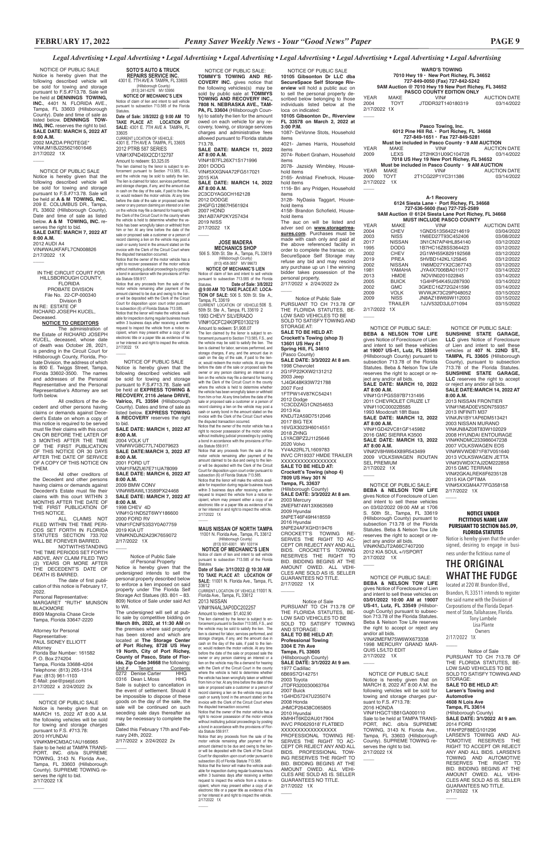**WARD'S TOWING 7010 Hwy 19 • New Port Richey, FL 34652 727-849-0050 (Fax) 727-842-5242 9AM Auction @ 7010 Hwy 19 New Port Richey, FL 34652 PASCO COUNTY EDITION ONLY** YEAR MAKE VIN# AUCTION DATE

*Legal Advertising • Legal Advertising • Legal Advertising • Legal Advertising • Legal Advertising • Legal Advertising • Legal Advertising • Legal Advertising*

2004 TOYT JTDDR32T140180319 03/14/2022 2/17/2022 1X  $\overline{\phantom{a}}$ 

**Pasco Towing, Inc. 6012 Pine Hill Rd. • Port Richey, FL 34668 727-849-1651 • Fax 727-849-5281 Must be included in Pasco County • 9 AM AUCTION<br>MAKE VIN# AUCTION** YEAR MAKE VIN# AUCTION DATE<br>2009 LEXS 2T2HK31U09C104728 03/14/2022 2009 LEXS 2T2HK31U09C104728 03/14/2022 **7018 US Hwy 19 New Port Richey, FL 34652 Must be included in Pasco County • 9 AM AUCTION** YEAR MAKE VIN# AUCTION DATE<br>2000 TOYT 2T1CG22P1YC311386 03/14/2022 2000 TOYT 2T1CG22P1YC311386

**A-1 Recovery 6124 Siesta Lane • Port Richey, FL 34668 727-536-5600 (fax) 727-725-2589 9AM Auction @ 6124 Siesta Lane Port Richey, FL 34668 MUST INCLUDE PASCO COUNTY**<br>WAKE VIN#

YEAR MAKE VIN# AUCTION DATE 2004 CHEV 1GNDS13S642214619 03/04/2022 2003 NISS 1N6ED27T93C452406 03/08/2022 2017 NISSAN 3N1CN7AP4HL854140 03/12/2022 1995 DODG 1B7HC16Z8SS364423 03/12/2022 2002 CHEV 2G1WH55K829192568 03/12/2022 2019 PREA 5HVBD142KL125845 03/12/2022 2002 NISSAN 1N6MD27YX2C367743 03/12/2022 1981 YAMAHA JYA4X7006BA011017 03/14/2022 2013 HMDE NOVIN0201022845 03/14/2022 2005 BUICK 1G4HP54K45U287930 03/14/2022 2002 GMC 3GKEC16Z72G241596 03/14/2022<br>2009 VOLK WVWJK73C29P048052 03/15/2022 2009 VOLK WVWJK73C29P048052 03/15/2022 2009 NISS JN8AZ18W69W112003 03/15/2022 1JJV532D3JL071094

2/17/2022 1X  $\overline{\phantom{a}}$ 

 NOTICE OF PUBLIC SALE: **BEBA & NELSON TOW LIFE** gives Notice of Foreclosure of Lien and intent to sell these vehicles on 03/02/2022 09:00 AM at 1706 S. 50th St., Tampa, FL 33619 (Hillsborough County) pursuant to subsection 713.78 of the Florida Statutes. Beba & Nelson Tow Life reserves the right to accept or reject any and/or all bids. VIN#KNDJT2A66C7407200 2012 KIA SOUL +/!/SPORT 2/17/2022 1X  $\overline{\phantom{a}}$ 

 NOTICE OF PUBLIC SALE: **SUNSHINE STATE GARAGE, LLC** gives Notice of Foreclosure of Lien and intent to sell these vehicles at **407 N. 22ND ST., TAMPA, FL 33605** (Hillsborough County), pursuant to subsection 713.78 of the Florida Statutes. **SUNSHINE STATE GARAGE, LLC** reserves the right to accept or reject any and/or all bids. **SALE DATE:MARCH 14, 2022 AT 8:00 A.M.**

2/17/2022 1X  $\overline{\phantom{a}}$ 

 NOTICE OF PUBLIC SALE **10105 Gibsonton Dr LLC dba SecureSpace Self Storage Riverview** will hold a public auc on to sell the personal property described below belonging to those individuals listed below at the loca on indicated: **10105 Gibsonton Dr., Riverview FL 33578 on March 2, 2022 at 3:00 P.M.** 1087- DeVonne Stots, Household items 4021- James Harris, Household items 2074- Robert Graham, Household items 2078- Jazsidy Wimbley, Household items 2165- Anitriad Finefrock, Household items 1116- Bri any Pridgen, Household items 3128- NyDasia Taggart, Household items 4158- Brandon Schofield, Household items The auc on will be listed and adver sed on **www.storagetreasures.com**. Purchases must be made with cash only and paid at the above referenced facility in order to complete the transac on. SecureSpace Self Storage may refuse any bid and may rescind any purchase up un l the winning bidder takes possession of the personal property. 2/17/2022 x 2/24/2022 2x  $\overline{\phantom{a}}$ Notice of Public Sale PURSUANT TO CH 713.78 OF

2/17/2022  $\overline{\phantom{a}}$ 

> 2013 NISSAN FRONTIER VIN#1N6AD0EV5DN759357 2013 INFINITI M37 VIN#JN1BY1AP6DM513421 2003 NISSAN MURANO VIN#JN8AZ08T83W102029 2008 HYUNDAI ENTOURAGE VIN#KNDMC233986047238 2007 VOLKSWAGEN EOS VIN#WVWDB71F87V051640 2013 VOLKSWAGEN JETTA VIN#3VWDX7AJ2DM222858 2015 GMC TERRAIN VIN#2GKALREK6F6235128 2015 KIA OPTIMA VIN#5XXGM4A77FG358158 2/17/2022 1X

#### **NOTICE UNDER FICTITIOUS NAME LAW PURSUANT TO SECTION 865.09, FLORIDA STATUTES**

 $\overline{\phantom{a}}$ 

Notice is hereby given that the undersigned, desiring to engage in business under the fictitious name of

# **THE ORIGINAL WHAT THE FUDGE** located at 220 W. Brandon Blvd.,

Brandon, FL 33511 intends to register the said name with the Division of Corporations of the Florida Department of State, Tallahassee, Florida. Tony Lambele

Lisa Plante

2/17/2022 1X

 $\overline{\phantom{a}}$ 

 $\overline{\phantom{a}}$ 

 NOTICE OF PUBLIC SALE: **BEBA & NELSON TOW LIFE** gives Notice of Foreclosure of Lien and intent to sell these vehicles on **03/01/2022 10:00 AM at 19007 US-41, Lutz, FL 33549** (Hillsborough County) pursuant to subsection 713.78 of the Florida Statutes. Beba & Nelson Tow Life reserves the right to accept or reject any and/or all bids. VIN#2MEFM75W6WX673338 1998 MERCURY GRAND MAR-QUIS LS/LTD EDIT 2/17/2022 1X

 $\overline{\phantom{a}}$ 

 $\overline{\phantom{a}}$ 

2/17/2022 1X  $\overline{\phantom{a}}$ 

 NOTICE OF PUBLIC SALE: **BEBA & NELSON TOW LIFE** gives Notice of Foreclosure of Lien and intent to sell these vehicles **at 19007 US-41, Lutz, FL 33549** (Hillsborough County) pursuant to subsection 713.78 of the Florida Statutes. Beba & Nelson Tow Life reserves the right to accept or reject any and/or all bids. **SALE DATE: MARCH 10, 2022 AT 8:00 A.M.** VIN#1G1PG5S97B7131495 2011 CHEVROLET CRUZE LT VIN#110C00022B585 1993 Moodcraft 18ft Bass **SALE DATE: MARCH 12, 2022 AT 8:00 A.M.** VIN#1GD42VC81GF145982 2016 GMC SIERRA K3500 **SALE DATE: MARCH 13, 2022 AT 8:00 A.M.** VIN#2V8HW64X89R543499 2009 VOLKSWAGEN ROUTAN SEL PREMIUM

3N1AB7AP2KY257434 2019 NISS 2/17/2022 1X  $\overline{\phantom{a}}$ 

able for inspection during regular business hours within 3 business days after receiving a written request to inspect the vehicle from a notice recipient, whom may present either a copy of an electronic title or a paper title as evidence of his or her interest in and right to inspect the vehicle. 2/17/2022 1X  $\overline{\phantom{a}}$ 

THE FLORIDA STATUTES, BE-LOW SAID VEHICLES TO BE SOLD TO SATISFY TOWING AND STORAGE AT: **SALE TO BE HELD AT: Crockett's Towing (shop 3) 13601 US Hwy 41 Spring Hill, FL 34610** (Pasco County) **SALE DATE: 3/3/2022 At 8 am**. 1998 Chevrolet 2G1FP22KXW2131212 2003 Jeep 1J4GK48K93W721788 2007 Ford 1FTPW14V87KC54241 2012 Dodge 1C3CDZAG1CN254653 2013 Kia KNDJT2A59D7512046 2017 BIG TEX 16VGX3023H6014551 2018 ZHNG L5YACBPZ2J1125646 2020 Volvo YV4A22RL7L1609783 INVC CR19337 HMDE TRAILER XXXXXXXXXXXXXXXXX **SALE TO BE HELD AT: Crockett's Towing (shop 4) 7809 US Hwy 301 N Tampa, FL 33637** (Hillsborough County) **SALE DATE: 3/3/2022 At 8 am**. 2003 Mercury 2MEFM74W13X663569 2009 Hyundai 5NPET46F49H418559 2016 Hyundai 5NPE24AFXGH319476 CROCKETT'S TOWING RE-SERVES THE RIGHT TO AC-CEPT OR REJECT ANY AND ALL BIDS. CROCKETT'S TOWING RESERVES THE RIGHT TO BID. BIDDING BEGINS AT THE AMOUNT OWED. ALL VEHI-CLES ARE SOLD AS IS. SELLER GUARANTEES NO TITLE. 2/17/2022 1X

\_\_\_\_\_

Notice of Sale PURSUANT TO CH 713.78 OF THE FLORIDA STATUTES, BE-LOW SAID VEHICLES TO BE SOLD TO SATISFY TOWING AND STORAGE: **SALE TO BE HELD AT: Professional Towing 3304 E 7th Ave Tampa, FL 33605** (Hillsborough County) **SALE DATE: 3/1/2022 At 9 am**. 1977 Cadillac 6B69S7Q142751 2003 Toyota JTDFR320030063764 2007 Buick 1G4HD57247U235074 2008 Honda JHMCP26438C065805 2010 Hyundai KMHHT6KD2AU017904 INVC PR0629318' FLATBED XXXXXXXXXXXXXXXXX PROFESSIONAL TOWING RE-SERVES THE RIGHT TO AC-CEPT OR REJECT ANY AND ALL BIDS. PROFESSIONAL TOW-ING RESERVES THE RIGHT TO BID. BIDDING BEGINS AT THE AMOUNT OWED. ALL VEHI-CLES ARE SOLD AS IS. SELLER GUARANTEES NO TITLE.

The lien claimed by the lienor is subject to enforcement pursuant to Section 713.585, F.S., and the vehicle may be sold to satisfy the lien. The lien is claimed for labor, services performed, and storage charges, if any, and the amount due in cash on the day of the sale, if paid to the lienor, would redeem the motor vehicle. At any time before the date of the sale or proposed sale the owner or any person claiming an interest or a lien on the vehicle may file a demand for hearing with the Clerk of the Circuit Court in the county where the vehicle is held to determine whether the ve-hicle has been wrongfully taken or withheld from him or her. At any time before the date of the sale or proposed sale a customer or a person of record claiming a lien on the vehicle may post a cash or surety bond in the amount stated on the invoice with the Clerk of the Circuit Court where the disputed transaction occurred. Notice that the owner of the motor vehicle has a

Notice that any proceeds from the sale of the motor vehicle remaining after payment of the amount claimed to be due and owing to the lien-or will be deposited with the Clerk of the Circuit Court for disposition upon court order pursuant to subsection (6) of Florida Statute 713.585. Notice that the lienor will make the vehicle available for inspection during regular business hours within 3 business days after receiving a written request to inspect the vehicle from a notice recipient, whom may present either a copy of an electronic title or a paper title as evidence of his or her interest in and right to inspect the vehicle. 2/17/2022 1X  $\sim$ 

> Notice of Sale PURSUANT TO CH 713.78 OF THE FLORIDA STATUTES, BE-LOW SAID VEHICLES TO BE SOLD TO SATISFY TOWING AND STORAGE: **SALE TO BE HELD AT: Larsen's Towing and Automotive 4608 N Lois Ave Tampa, FL 33614** (Hillsborough County) **SALE DATE: 3/1/2022 At 9 am**. 2014 FORD 1FAHP2F88EG101296 LARSEN'S TOWING AND AU-TOMOTIVE RESERVES THE RIGHT TO ACCEPT OR REJECT ANY AND ALL BIDS. LARSEN'S TOWING AND AUTOMOTIVE RESERVES THE RIGHT TO BID. BIDDING BEGINS AT THE AMOUNT OWED. ALL VEHI-CLES ARE SOLD AS IS. SELLER GUARANTEES NO TITLE. 2/17/2022 1X

 NOTICE OF PUBLIC SALE: **TOMMY'S TOWING AND RE-COVERY INC.** gives notice that the following vehicles(s) may be sold by public sale at **TOMMYS TOWING AND RECOVERY INC., 7808 N. NEBRASKA AVE., TAM-PA, FL 33604** (Hillsborough County) to satisfy the lien for the amount owed on each vehicle for any recovery, towing, or storage services charges and administrative fees allowed pursuant to Florida statute 713.78. **SALE DATE: MARCH 11, 2022 AT 8:00 A.M.** VIN#1B7FL26X71S171996 2001 DODG VIN#5XXGN4A72FG517021 2015 KIA **SALE DATE: MARCH 14, 2022 AT 8:00 A.M.** 2C3CDYAG0CH162128 2012 DODGE 2HGFG12867H561924 2007 HOND

#### **JOSE MADERA MECHANICS SHOP**

506 S. 50th St. Ste A., Tampa, FL 33619

VIN#JM1BJ225621601646 2/17/2022 1X  $\overline{\phantom{a}}$ 

 IN THE CIRCUIT COURT FOR HILLSBOROUGH COUNTY, FLORIDA PROBATE DIVISION File No. 22-CP-000340 Division B IN RE: ESTATE OF RICHARD JOSEPH KUCEL, **Deceased.** 

(Hillsborough County) (813) 458-3857 MV 99673 **NOTICE OF MECHANIC'S LIEN** Notice of claim of lien and intent to sell vehicle pursuant to subsection 713.585 of the Florida Statutes. **Date of Sale: 3/8/2022 @ 9:00 AM TO TAKE PLACE AT: LOCA-TION OF SALE:** 506 S. 50th St. Ste A., Tampa, FL 33619 CURRENT LOCATION OF VEHICLE:506 S. 50th St. Ste A., Tampa, FL 33619 2 1993 CHEVY SILVERADO VIN#1GCFC24K0PE0130219 Amount to redeem: \$1,908.07 The lien claimed by the lienor is subject to en-forcement pursuant to Section 713.585, F.S., and the vehicle may be sold to satisfy the lien. The lien is claimed for labor, services performed, and storage charges, if any, and the amount due in cash on the day of the sale, if paid to the lien-or, would redeem the motor vehicle. At any time before the date of the sale or proposed sale the owner or any person claiming an interest or a lien on the vehicle may file a demand for hearing with the Clerk of the Circuit Court in the county where the vehicle is held to determine whether the vehicle has been wrongfully taken or withheld from him or her. At any time before the date of the sale or proposed sale a customer or a person of record claiming a lien on the vehicle may post a cash or surety bond in the amount stated on the invoice with the Clerk of the Circuit Court where the disputed transaction occurred. Notice that the owner of the motor vehicle has a right to recover possession of the motor vehicle without instituting judicial proceedings by posting a bond in accordance with the provisions of Flor-ida Statute 559.917. Notice that any proceeds from the sale of the motor vehicle remaining after payment of the amount claimed to be due and owing to the lienor will be deposited with the Clerk of the Circuit Court for disposition upon court order pursuant to subsection (6) of Florida Statute 713.585. Notice that the lienor will make the vehicle avail-

All other creditors of the Decedent and other persons having claims or demands against Decedent's Estate must file their claims with this court WITHIN 3 MONTHS AFTER THE DATE OF THE FIRST PUBLICATION OF THIS NOTICE.<br>ALL

CLAIMS NOT FILED WITHIN THE TIME PERI-ODS SET FORTH IN FLORIDA STATUTES SECTION 733.702 WILL BE FOREVER BARRED. NOTWITHSTANDING

Attorney for Personal Representative: PAUL SIDNEY ELLIOTT Attorney Florida Bar Number: 161582 P. O. Box 274204 Tampa, Florida 33688-4204 Telephone: (813) 265-1314 Fax: (813) 961-1103 E-Mail: pse@psejd.com 2/17/2022 x 2/24/2022 2x  $\overline{\phantom{a}}$ 

# **MAUS NISSAN OF NORTH TAMPA** 11001 N. Florida Ave., Tampa, FL 33612 (Hillsborough County) (813) 931-6001 MV 103114

**NOTICE OF MECHANIC'S LIEN**<br>Notice of claim of lien and intent to sell vehicle

Notice of claim of lien and intent to sell vehicle pursuant to subsection 713.585 of the Florida Statutes. **Date of Sale: 3/11/2022 @ 10:30 AM TO TAKE PLACE AT: LOCATION OF SALE:** 11001 N. Florida Ave., Tampa, FL

33612 CURRENT LOCATION OF VEHICLE:11001 N. Florida Ave., Tampa, FL 33612 2013 NISSAN

VIN#1N4AL3AP0DC202257 Amount to redeem: \$1,402.90 The lien claimed by the lienor is su forcement pursuant to Section 713.585, F.S., and<br>the vehicle may be sold to satisfy the lien. The the vehicle may be sold to satisfy the lien. The lien is claimed for labor, services performed, and storage charges, if any, and the amount due in cash on the day of the sale, if paid to the lien-or, would redeem the motor vehicle. At any time before the date of the sale or proposed sale the owner or any person claiming an interest or a lien on the vehicle may file a demand for hearing with the Clerk of the Circuit Court in the county where the vehicle is held to determine whether the vehicle has been wrongfully taken or withheld from him or her. At any time before the date of the sale or proposed sale a customer or a person of record claiming a lien on the vehicle may post a cash or surety bond in the amount stated on the invoice with the Clerk of the Circuit Court where the disputed transaction occurred. Notice that the owner of the motor vehicle has a right to recover possession of the motor vehicle without instituting judicial proceedings by posting a bond in accordance with the provisions of Florida Statute 559.917. Notice that any proceeds from the sale of the motor vehicle remaining after payment of the amount claimed to be due and owing to the lien-or will be deposited with the Clerk of the Circuit Court for disposition upon court order pursuant to subsection (6) of Florida Statute 713.585. Notice that the lienor will make the vehicle available for inspection during regular business hours within 3 business days after receiving a written request to inspect the vehicle from a notice recipient, whom may present either a copy of an electronic title or a paper title as evidence of his or her interest in and right to inspect the vehicle. 2/17/2022 1X

 $\mathcal{L}$ 

**SOTO'S AUTO & TRUCK REPAIRS SERVICE INC.** 4301 E. 7TH AVE A TAMPA, FL 33605 (Hillsborough County) (813) 241-6276 MV 53956

**NOTICE OF MECHANIC'S LIEN** Notice of claim of lien and intent to sell vehicle pursuant to subsection 713.585 of the Florida Statutes.

**Date of Sale: 3/8/2022 @ 9:00 AM TO TAKE PLACE AT: LOCATION OF SALE:** 4301 E. 7TH AVE A TAMPA, FL 33605

CURRENT LOCATION OF VEHICLE: 4301 E. 7TH AVE A TAMPA, FL 33605 2012 PTRB 587 SERIES VIN#1XP4D49X2CD132797 Amount to redeem: \$3,325.05

right to recover possession of the motor vehicle without instituting judicial proceedings by posting a bond in accordance with the provisions of Flor-ida Statute 559.917.

> NOTICE OF PUBLIC SALE Notice is hereby given that on MARCH 8, 2022 AT 8:00 A.M. the following vehicles will be sold for towing and storage charges pursuant to F.S. #713.78: 2016 HONDA VIN#1HGCT1B81GA000110 Sale to be held at TAMPA TRANS-PORT, INC. d/b/a SUPREME TOWING, 3143 N. Florida Ave., Tampa, FL 33603 (Hillsborough County). SUPREME TOWING reserves the right to bid. 2/17/2022 1X

#### **Owners**

 NOTICE OF PUBLIC SALE Notice is hereby given that the following described vehicles will be sold for towing and storage pursuant to F.S.#713.78. Sale will be held at **EXPRESS TOWING & RECOVERY, 2116 Jelane DRIVE, Valrico, FL 33594** (Hillsborough County). Dates and time of sale as listed below. **EXPRESS TOWING & RECOVERY** reserves the right

to bid. **SALE DATE: MARCH 1, 2022 AT 8:00 A.M.**

2004 VOLK UT

VIN#WVGBC77L74D079623 **SALE DATE:MARCH 3, 2022 AT 8:00 A.M.** 2001 FORD UT VIN#1FMZU67E71UA78099 **SALE DATE: MARCH 6, 2022 AT 8:00 A.M.** 2009 BMW CONV

VIN#WBAWL13589PX24468 **SALE DATE: MARCH 7, 2022 AT 8:00 A.M.** 1998 CHEV 4D

VIN#1G1ND52T6WY186600 2000 FORD RV VIN#1FCNF53S3Y0A07759 2019 KIA UT VIN#KNDJN2A23K7659072 2/17/2022 1X

 $\overline{\phantom{a}}$ 

Notice of Public Sale

of Personal Property Notice is hereby given that the undersigned intends to sell the personal property described below to enforce a lien imposed on said property under The Florida Self Storage Act Statues (83. 801 – 83. 809) Notice of Sale under said Act to Wit.

The undersigned will sell at public sale by competitive bidding on **March 8th, 2022, at 11:30 AM** on the premises where said property has been stored and which are located at **The Storage Center of Port Richey, 8728 US Hwy 19 North, City of Port Richey, County of Pasco, State of Florida, Zip Code 34668** the following:<br>Unit # Tenant Contents Unit # Tenant Contents 0272 Denise Carter HHG 0316 Dean L Moss HHG Sale is subject to cancellation in the event of settlement. Should it be impossible to dispose of these goods on the day of the sale, the sale will be continued on such seceding sale days thereafter as may be necessary to complete the sale.

Dated this February 17th and February 24th, 2022. 2/17/2022 x 2/24/2022 2x

 $\overline{\phantom{a}}$ 

 NOTICE OF PUBLIC SALE Notice is hereby given that the following described vehicle will be sold for towing and storage pursuant to F.S.#713.78. Sale will be held at **DENNINGS TOWING, INC.**, 4401 N. FLORIDA AVE., Tampa, FL 33603 (Hillsborough County). Date and time of sale as listed below. **DENNINGS TOW-ING, INC.** reserves the right to bid. **SALE DATE: MARCH 5, 2022 AT 8:00 A.M.** 2002 MAZDA PROTEGE\*

 NOTICE OF PUBLIC SALE Notice is hereby given that the following described vehicle will be sold for towing and storage pursuant to F.S.#713.78. Sale will be held at **A & M TOWING, INC.**, 209 E. COLUMBUS DR., Tampa, FL 33602 (Hillsborough County). Date and time of sale as listed below. **A & M TOWING, INC.** reserves the right to bid. **SALE DATE: MARCH 7, 2022 AT 8:00 A.M.**

2012 AUDI A4

 $\overline{\phantom{a}}$ 

VIN#WAUKFAFL7CN008826 2/17/2022 1X

**NOTICE TO CREDITORS**

The administration of the Estate of RICHARD JOSEPH KUCEL, deceased, whose date of death was October 28, 2021, is pending in the Circuit Court for Hillsborough County, Florida, Probate Division, the address of which is 800 E. Twiggs Street, Tampa, Florida 33602-3500. The names and addresses of the Personal Representative and the Personal Representative's Attorney are set forth below.

All creditors of the decedent and other persons having claims or demands against Decedent's Estate on whom a copy of this notice is required to be served must file their claims with this court ON OR BEFORE THE LATER OF 3 MONTHS AFTER THE TIME OF THE FIRST PUBLICATION OF THIS NOTICE OR 30 DAYS AFTER THE DATE OF SERVICE OF A COPY OF THIS NOTICE ON THEM.

THE TIME PERIODS SET FORTH ABOVE, ANY CLAIM FILED TWO (2) YEARS OR MORE AFTER THE DECEDENT'S DATE OF DEATH IS BARRED.

The date of first publication of this notice is February 17, 2022. Personal Representative: MARGARET "RUTH" MUNSON

BLACKMORE 8909 Magnolia Chase Circle Tampa, Florida 33647-2220

 NOTICE OF PUBLIC SALE Notice is hereby given that on MARCH 15, 2022 AT 8:00 A.M. the following vehicles will be sold for towing and storage charges pursuant to F.S. #713.78: 2010 HYUNDAI VIN#KMHCM3AC1AU166965 Sale to be held at TAMPA TRANS-PORT, INC. d/b/a SUPREME TOWING, 3143 N. Florida Ave., Tampa, FL 33603 (Hillsborough County). SUPREME TOWING reserves the right to bid. 2/17/2022 1X

 $\overline{\phantom{a}}$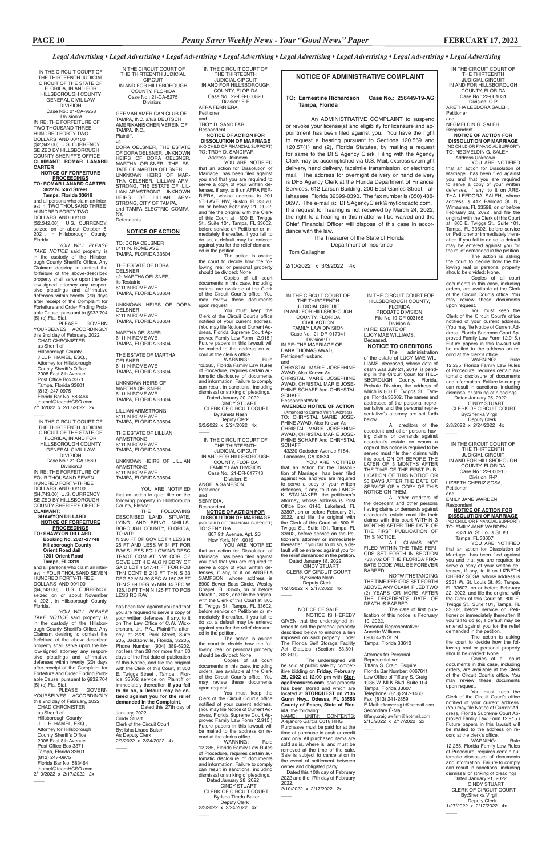IN THE CIRCUIT COURT OF THE THIRTEENTH JUDICIAL CIRCUIT IN AND FOR HILLSBOROUGH COUNTY, FLORIDA Case No.: 22-001031 Division: C-P ARETHA LEEDORA SALEH, Petitioner

and NEGMELDIN G. SALEH, Respondent

**NOTICE OF ACTION FOR DISSOLUTION OF MARRIAGE** (NO CHILD OR FINANCIAL SUPP TO: NEGMELDIN G. SALEH

 Address Unknown YOU ARE NOTIFIED that an action for Dissolution of Marriage has been filed against you and that you are required to serve a copy of your written defenses, if any, to it on ARE-THA LEEDORA SALEH, whose address is 412 Railroad St. N., Wimauma, FL 33598, on or before February 28, 2022, and file the original with the Clerk of this Court at 800 E. Twiggs St., Suite 101, Tampa, FL 33602, before service on Petitioner or immediately thereafter. If you fail to do so, a default may be entered against you for

WARNING: Rule 12.285, Florida Family Law Rules of Procedure, requires certain automatic disclosure of documents and information. Failure to comply can result in sanctions, including dismissal or striking of pleadings.

the relief demanded in the petition. The action is asking the court to decide how the following real or personal property should be divided: None.

Respondent<br>**NOTICE OF ACTION FOR<br>DISSOLUTION OF MARRIAGE** (NO CHILD OR FINANCIAL SUPPORT)

Copies of all court documents in this case, including orders, are available at the Clerk of the Circuit Court's office. You may review these documents upon request.

You must keep the Clerk of the Circuit Court's office notified of your current address. (You may file Notice of Current Address, Florida Supreme Court Ap-proved Family Law Form 12.915.) Future papers in this lawsuit will be mailed to the address on record at the clerk's office.

WARNING: Rule 12.285, Florida Family Law Rules of Procedure, requires certain automatic disclosure of documents and information. Failure to comply can result in sanctions, including dismissal or striking of pleadings. Dated January 21, 2022. CINDY STUART CLERK OF CIRCUIT COURT By:Sherika Virgil Deputy Clerk 1/27/2022 x 2/17/2022 4x  $\overline{\phantom{a}}$ 

Dated January 25, 2022. CINDY STUART

 CLERK OF CIRCUIT COURT By:Sherika Virgil Deputy Clerk 2/3/2022 x 2/24/2022 4x

IN THE CIRCUIT COURT OF THE THIRTEENTH JUDICIAL CIRCUIT IN AND FOR HILLSBOROUGH

COUNTY, FLORIDA Case No.: 22-000910 Division: R-P

LIZBETH CHERIZ SOSA, Petitioner

and

 $\overline{\phantom{a}}$ 

EMILY JANE WARDEN,

TO: EMILY JANE WARDEN 2331 W. St. Louis St. #3

 Tampa, FL 33607 YOU ARE NOTIFIED that an action for Dissolution of Marriage has been filed against you and that you are required to serve a copy of your written defenses, if any, to it on LIZBETH CHERIZ SOSA, whose address is 2331 W. St. Louis St. #3, Tampa, FL 33607, on or before February 22, 2022, and file the original with the Clerk of this Court at 800 E. Twiggs St., Suite 101, Tampa, FL 33602, before service on Peti-tioner or immediately thereafter. If you fail to do so, a default may be entered against you for the relief

demanded in the petition.

The action is asking the court to decide how the following real or personal property should be divided: None.

Copies of all court documents in this case, including orders, are available at the Clerk of the Circuit Court's office. You may review these documents upon request.

You must keep the<br>Clerk of the Circuit Court's office notified of your current address. (You may file Notice of Current Address, Florida Supreme Court Approved Family Law Form 12.915.) Future papers in this lawsuit will be mailed to the address on record at the clerk's office.<br>WARNING:

IN THE CIRCUIT COURT FOR HILLSBOROUGH COUNTY, FLORIDA PROBATE DIVISION File No.19-CP-003165 Division A IN RE: ESTATE OF LUCY MAE WILLIAMS, Deceased.

# **NOTICE TO CREDITORS**

The administration of the estate of LUCY MAE WIL-LIAMS, deceased, whose date of death was July 21, 2019, is pending in the Circuit Court for HILL-SBOROUGH County, Florida, Probate Division, the address of which is 800 E. Twiggs St., Tampa, Florida 33602. The names and addresses of the personal representative and the personal representative's attorney are set forth below.

All creditors of the decedent and other persons having claims or demands against decedent's estate on whom a copy of this notice is required to be served must file their claims with this court ON OR BEFORE THE LATER OF 3 MONTHS AFTER THE TIME OF THE FIRST PUB-LICATION OF THIS NOTICE OR 30 DAYS AFTER THE DATE OF SERVICE OF A COPY OF THIS NOTICE ON THEM.

All other creditors of the decedent and other persons having claims or demands against decedent's estate must file their claims with this court WITHIN 3 MONTHS AFTER THE DATE OF THE FIRST PUBLICATION OF THIS NOTICE.

ALL CLAIMS NOT FILED WITHIN THE TIME PERI-ODS SET FORTH IN SECTION 733.702 OF THE FLORIDA PRO-BATE CODE WILL BE FOREVER BARRED.

NOTWITHSTANDING THE TIME PERIODS SET FORTH ABOVE, ANY CLAIM FILED TWO (2) YEARS OR MORE AFTER THE DECEDENT'S DATE OF DEATH IS BARRED.

The date of first publication of this notice is February 10, 2022. Personal Representative:

Annette Williams 6908 47th St. N. Tampa, Florida 33610

#### Attorney for Personal Representative:

 $\overline{\phantom{a}}$ 

 By:Kineta Nash Deputy Clerk 2/3/2022 x 2/24/2022 4x  $\overline{\phantom{a}}$ 

> Tiffany S. Craig, Esquire Florida Bar Number: 0067611 Law Office of Tiffany S. Craig 1936 W. MLK Blvd. Suite 104 Tampa, Florida 33607 Telephone: (813) 247-1460 Fax: (813) 241-2859 E-Mail: tiffanycraig1@hotmail.com Secondary E-Mail: tiffany.craiglawfirm@hotmail.com 2/10/2022 x 2/17/2022 2x

**Respondent NOTICE OF ACTION FOR DISSOLUTION OF MARRIAGE** (NO CHILD OR FINANCIAL SUPPORT)

### **NOTICE OF ADMINISTRATIVE COMPLAINT**

### **TO: Earnestine Richardson Case No.: 256449-19-AG Tampa, Florida**

YOU ARE NOTIFIED that an action for Dissolution of Marriage has been filed against you and that you are required to serve a copy of your written defenses, if any, to it on ANGELA SAMPSON, whose address is 8900 Bower Bass Circle, Wesley Chapel, FL 33545, on or before March 1, 2022, and file the original with the Clerk of this Court at 800 E. Twiggs St., Tampa, FL 33602, before service on Petitioner or immediately thereafter. If you fail to do so, a default may be entered against you for the relief demanded in the petition.

You must keep the Clerk of the Circuit Court's office notified of your current address. (You may file Notice of Current Address, Florida Supreme Court Approved Family Law Form 12.915.) Future papers in this lawsuit will be mailed to the address on record at the clerk's office.

An ADMINISTRATIVE COMPLAINT to suspend or revoke your license(s) and eligibility for licensure and appointment has been filed against you. You have the right to request a hearing pursuant to Sections 120.569 and 120.57(1) and (2), Florida Statutes, by mailing a request for same to the DFS Agency Clerk. Filing with the Agency Clerk may be accomplished via U.S. Mail, express overnight delivery, hand delivery, facsimile transmission, or electronic mail. The address for overnight delivery or hand delivery is DFS Agency Clerk at the Florida Department of Financial Services, 612 Larson Building, 200 East Gaines Street, Tallahassee, Florida 32399-0390. The fax number is (850) 488- 0697. The e-mail is: DFSAgencyClerk@myfloridacfo.com. If a request for hearing is not received by March 24, 2022, the right to a hearing in this matter will be waived and the Chief Financial Officer will dispose of this case in accordance with the law.

WARNING: Rule 12.285, Florida Family Law Rules of Procedure, requires certain automatic disclosure of documents and information. Failure to comply can result in sanctions, including dismissal or striking of pleadings.

 The Treasurer of the State of Florida Department of Insurance

Tom Gallagher

2/10/2022 x 3/3/2022 4x

IN THE CIRCUIT COURT OF THE THIRTEENTH JUDICIAL CIRCUIT IN AND FOR HILLSBOROUGH COUNTY, FLORIDA Case No.: 21-CA-5275 Division:

GERMAN AMERICAN CLUB OF TAMPA, INC. a/k/a DEUTSCH AMERIKANISCHER VEREIN OF TAMPA, INC., Plaintiff,

vs. DORA OELSNER, THE ESTATE OF DORA OELSNER, UNKNOWN HEIRS OF DORA OELSNER, MARTHA OELSNER, THE ES-TATE OF MARTHA OELSNER, UNKNOWN HEIRS OF MAR-THA OELSNER, LILLIAN ARM-STRONG, THE ESTATE OF LIL-LIAN ARMSTRONG, UNKNOWN HEIRS OF LILLIAN ARM-STRONG, CITY OF TAMPA, and TAMPA ELECTRIC COMPA-NY, Defendants.

#### **NOTICE OF ACTION**

TO: DORA OELSNER 6111 N. ROME AVE TAMPA, FLORIDA 33604

THE ESTATE OF DORA OELSNER c/o MARTHA OELSNER, its Testatrix 6111 N ROME AVE TAMPA, FLORIDA 33604

UNKNOWN HEIRS OF DORA OELSNER 6111 N ROME AVE TAMPA, FLORIDA 33604

MARTHA OELSNER 6111 N ROME AVE TAMPA, FLORIDA 33604

THE ESTATE OF MARTHA OELSNER 6111 N ROME AVE TAMPA, FLORIDA 33604

UNKNOWN HEIRS OF MARTHA OELSNER 6111 N ROME AVE TAMPA, FLORIDA 33604

LILLIAN ARMSTRONG 6111 N ROME AVE TAMPA, FLORIDA 33604

**GOVERN** YOURSELVES ACCORDINGLY this 2nd day of February, 2022. CHAD CHRONISTER, as Sheriff of Hillsborough County JILL R. HAMEL, ESQ., Attorney for Hillsborough County Sheriff's Office 2008 East 8th Avenue Post Office Box 3371 Tampa, Florida 33601 (813) 247-0975 Florida Bar No. 583464 jhamel@teamHCSO.com 2/10/2022 x 2/17/2022 2x

 $\overline{\phantom{a}}$ 

THE ESTATE OF LILLIAN ARMSTRONG 6111 N ROME AVE TAMPA, FLORIDA 33604

UNKNOWN HEIRS OF LILLIAN ARMSTRONG 6111 N ROME AVE TAMPA, FLORIDA 33604

YOU ARE NOTIFIED that an action to quiet title on the following property in Hillsborough SCHAFF, Respondent/Wife **AMENDED NOTICE OF ACTION** (Amended to Correct Wife's Address TO: CHRYSTAL MARIE JOSE-PHINE AWAD, Also Known As CHRISTAL MARIE JOSEPHINE AWAD, CHRISTAL MARIE JOSE-PHINE SCHAFF And CHRYSTAL **SCHAFF** 

County, Florida: THE FOLLOWING DESCRIBED LAND, SITUATE, LYING, AND BEING INHILLS-BOROUGH COUNTY, FLORIDA, TO WIT: N 330 FT OF GOV LOT 4 LESS N 25 FT AND LESS W 34 FT FOR

R/W'S LESS FOLLOWING DESC TRACT COM AT NW COR OF GOVE LOT 4 E ALG N BDRY OF SAID LOT 4 517.41 FT FOR POB THN CONT E 210 FT THN S 33 DEG 52 MIN 30 SEC W 150.36 FT THN S 89 DEG 55 MIN 34 SEC W 126.10 FT THN N 125 FT TO POB LESS RD R/W

has been filed against you and that you are required to serve a copy of your written defenses, if any, to it on The Law Office of C.W. Wickersham, Jr., P.A., Plaintiff's attorney, at 2720 Park Street, Suite 205, Jacksonville, Florida, 32205, Phone Number: (904) 389-6202, not less than 28 nor more than 60 days of the first date of publication of this Notice, and file the original with the Clerk of this Court, at 800 E. Twiggs Street , Tampa , Florida 33602 service on Plaintiff or immediately thereafter. **If you fail to do so, a Default may be entered against you for the relief demanded in the Complaint**. Dated this 27th day of January, 2022. Cindy Stuart Clerk of the Circuit Court By: Isha Lirado Baker As Deputy Clerk 2/3/2022 x 2/24/2022 4x

 $\overline{\phantom{a}}$ 

IN THE CIRCUIT COURT OF THE THIRTEENTH JUDICIAL CIRCUIT IN AND FOR HILLSBOROUGH COUNTY, FLORIDA Case No.: 22-DR-000820 Division: E-P AFRA FERRIERA, Petitioner and

TROY D. SANDIFAR, Respondent

# **NOTICE OF ACTION FOR DISSOLUTION OF MARRIAGE**

(NO CHILD OR FINANCIAL SUPPORT) TO: TROY D. SANDIFAR

 Address Unknown YOU ARE NOTIFIED that an action for Dissolution of Marriage has been filed against you and that you are required to serve a copy of your written defenses, if any, to it on AFRA FER-RIERA, whose address is 201 5TH AVE. NW, Ruskin, FL 33570, on or before February 21, 2022, and file the original with the Clerk of this Court at 800 E. Twiggs St., Suite 101, Tampa, FL 33602, before service on Petitioner or immediately thereafter. If you fail to do so, a default may be entered against you for the relief demanded in the petition.

The action is asking the court to decide how the following real or personal property should be divided: None.

Copies of all court documents in this case, including orders, are available at the Clerk of the Circuit Court's office. You may review these documents upon request.

You must keep the Clerk of the Circuit Court's office notified of your current address. (You may file Notice of Current Address, Florida Supreme Court Approved Family Law Form 12.915.) Future papers in this lawsuit will be mailed to the address on record at the clerk's office. WARNING: Rule

12.285, Florida Family Law Rules of Procedure, requires certain automatic disclosure of documents and information. Failure to comply can result in sanctions, including dismissal or striking of pleadings. Dated January 20, 2022. CINDY STUART CLERK OF CIRCUIT COURT

IN THE CIRCUIT COURT OF THE THIRTEENTH JUDICIAL CIRCUIT IN AND FOR HILLSBOROUGH COUNTY, FLORIDA FAMILY LAW DIVISION Case No.: 21-DR-017743 Division: E ANGELA SAMPSON,

Petitioner and

SENY DIA,

TO: SENY DIA 807 9th Avenue, Apt. 2B New York, NY 10019

The action is asking the court to decide how the following real or personal property should be divided: None.

Copies of all court documents in this case, including orders, are available at the Clerk of the Circuit Court's office. You may review these documents upon request.

 Dated January 28, 2022. CINDY STUART CLERK OF CIRCUIT COURT By:Isha Tirado-Baker Deputy Clerk 2/3/2022 x 2/24/2022 4x

 $\overline{\phantom{a}}$ 

IN THE CIRCUIT COURT OF THE THIRTEENTH JUDICIAL CIRCUIT OF THE STATE OF FLORIDA, IN AND FOR HILLSBOROUGH COUNTY GENERAL CIVIL LAW DIVISION Case No.: 21-CA-9258 Division:A IN RE: THE FORFEITURE OF TWO THOUSAND THREE HUNDRED FORTY-TWO DOLLARS AND 00/100 (\$2,342.00) U.S. CURRENCY SEIZED BY HILLSBOROUGH COUNTY SHERIFF'S OFFICE **CLAIMANT: ROMAR LANARD CARTER**

#### **NOTICE OF FORFEITURE PROCEEDINGS TO: ROMAR LANARD CARTER 3622 N. 53rd Street**

 **Tampa, Florida 33619** and all persons who claim an interest in: TWO THOUSAND THREE HUNDRED FORTY-TWO

DOLLARS AND 00/100 (\$2,342.00) U.S. CURRENCY; seized on or about October 6, 2021, in Hillsborough County, Florida.

*YOU WILL PLEASE TAKE NOTICE* said property is in the custody of the Hillsborough County Sheriff's Office. Any Claimant desiring to contest the forfeiture of the above-described property shall serve upon the below-signed attorney any responsive pleadings and affirmative defenses within twenty (20) days after receipt of the Complaint for Forfeiture and Order Finding Probable Cause, pursuant to §932.704 (5) (c),Fla. Stat.

PLEASE GOVERN YOURSELVES ACCORDINGLY this 2nd day of February, 2022. CHAD CHRONISTER, as Sheriff of Hillsborough County JILL R. HAMEL, ESQ., Attorney for Hillsborough County Sheriff's Office 2008 East 8th Avenue Post Office Box 3371 Tampa, Florida 33601 (813) 247-0975 Florida Bar No. 583464 jhamel@teamHCSO.com 2/10/2022 x 2/17/2022 2x  $\overline{\phantom{a}}$ 

IN THE CIRCUIT COURT OF THE THIRTEENTH JUDICIAL CIRCUIT OF THE STATE OF FLORIDA, IN AND FOR HILLSBOROUGH COUNTY GENERAL CIVIL LAW DIVISION Case No.: 21-CA-9860 Division:J IN RE: THE FORFEITURE OF FOUR THOUSAND SEVEN HUNDRED FORTY-THREE DOLLARS AND 00/100 (\$4,743.00) U.S. CURRENCY SEIZED BY HILLSBOROUGH COUNTY SHERIFF'S OFFICE

**CLAIMANT: SHAWYON DILLARD NOTICE OF FORFEITURE PROCEEDINGS TO: SHAWYON DILLARD Booking No. 2021-27748 Hillsborough County Orient Road Jail 1201 Orient Road Tampa, FL 3319**

and all persons who claim an interest in:FOUR THOUSAND SEVEN HUNDRED FORTY-THREE DOLLARS AND 00/100 (\$4,743.00) U.S. CURRENCY; seized on or about November 4, 2021, in Hillsborough County, Florida.

*YOU WILL PLEASE TAKE NOTICE* said property is in the custody of the Hillsbor-

ough County Sheriff's Office. Any Claimant desiring to contest the forfeiture of the above-described property shall serve upon the below-signed attorney any responsive pleadings and affirmative defenses within twenty (20) days after receipt of the Complaint for Forfeiture and Order Finding Probable Cause, pursuant to §932.704 (5) (c),Fla. Stat.

IN THE CIRCUIT COURT OF THE THIRTEENTH JUDICIAL CIRCUIT IN AND FOR HILLSBOROUGH COUNTY, FLORIDA

CIVIL ACTION FAMILY LAW DIVISION Case No.: 21-DR-017041

Division: D IN RE: THE MARRIAGE OF DANA THOMAS AWAD, Petitioner/Husband and

CHRYSTAL MARIE JOSEPHINE AWAD, Also Known As CHRISTAL MARIE JOSEPHINE AWAD, CHRISTAL MARIE JOSE-PHINE SCHAFF And CHRYSTAL

43230 Gadsden Avenue #184,

 Lancaster, CA 93534 YOU ARE NOTIFIED action for the Dissolution of Marriage has been filed against you and you are required to serve a copy of your written defenses, if any, to it on LANCE K. STALNAKER, the petitioner's attorney, whose address is Post Office Box 6146, Lakeland, FL 33807, on or before February 21, 2022, and file the original with the Clerk of this Court at 800 E. Twiggs St., Suite 101, Tampa, FL 33602, before service on the Petitioner's attorney or immediately thereafter. If you fail to do so, a de-fault will be entered against you for the relief demanded in the petition.

 Dated January 18, 2022. CINDY STUART CLERK OF CIRCUIT COURT By:Kineta Nash Deputy Clerk 1/27/2022 x 2/17/2022 4x

> NOTICE OF SALE NOTICE IS HEREBY

GIVEN that the undersigned intends to sell the personal property

 $\overline{\phantom{a}}$ 

described below to enforce a lien imposed on said property under The Florida Self Storage Facility Act Statutes (Section 83.801- 83.809).

The undersigned will be sold at public sale by competitive bidding on **Friday, February 25, 2022 at 12:00 pm** with **StorageTreasures.com**, said property has been stored and which are located at **STORQUEST on 2135 Gunn Hwy., Odessa, FL 33556 County of Pasco, State of Florida**, the following:

NAME: UNIT#: CONTENTS: Alejandro Garcia C018 HHG Purchases must be paid for at the time of purchase in cash or credit card only. All purchased items are sold as is, where is, and must be removed at the time of the sale. Sale is subject to cancellation in the event of settlement between owner and obligated party.

 Dated this 10th day of February 2022 and the 17th day of February 2022.

2/10/2022 x 2/17/2022 2x

 $\overline{\phantom{a}}$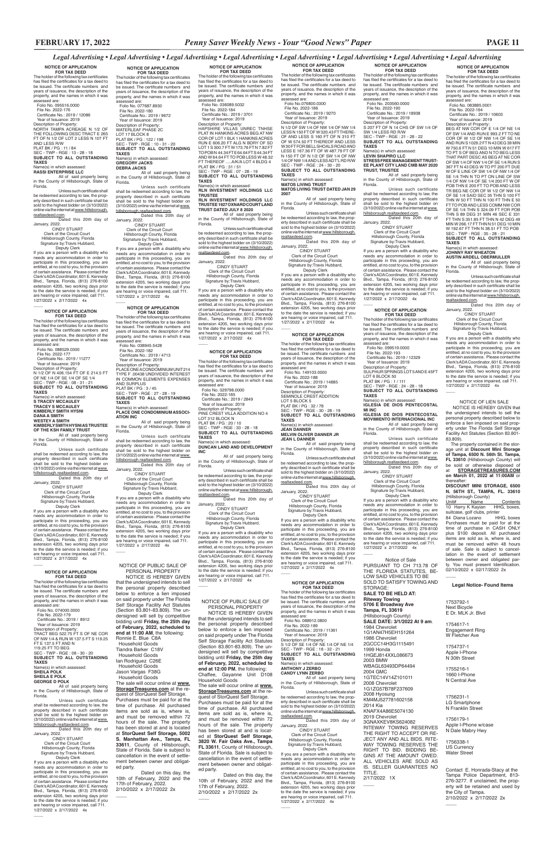**NOTICE OF APPLICATION FOR TAX DEED** The holder of the following tax certificates has filed the certificates for a tax deed to be issued. The certificate numbers and years of issuance, the description of the property, and the names in which it was

File No. 2022-194<br>
Certificate No.: 2019 / 10603<br>
Year of Issuance: 2019<br>
Description of Property:<br>
BEG AT NW COR OF E 1/4 OF NE 1/4

assessed are: Folio No. 083885.0001

OF SW 1/4 AND RUN E 993.2 FT TO NE COR OF W 1/2 OF NW 1/4 OF SE 1/4 AND RUN S 1029.2 FT N 43 DEG 39 MIN W 750.6 FT N 51 DEG 10 MIN W 617 FT TO PT S OF BEG AND N TO BEG LESS THAT PART DESC AS BEG AT NE COR OF SW 1/4 OF NW 1/4 OF SE 1/4 RUN S

367 FT N 43 DEG W TO PT 200 FT DUE W OF E LINE OF SW 1/4 OF NW 1/4 OF SE 1/4 THN N TO PT ON LINE OF SW 1/4 OF NW 1/4 OF SE 1/4 200 FT W OF POB THN E 200 FT TO POB AND LESS TR BEG NE COR OF W 1/2 OF NW 1/4 OF SE 1/4 SAID SEC 35 THN S 100 FT THN W 50 FT THN N 100 FT THN E 50 FT TO POB AND LESS COMM NW COR OF SE 1/4 THN S 324.09 FT FOR POB THN S 89 DEG 31 MIN 46 SEC E 331 FT THN S 351.85 FT THN N 42 DEG 49 MIN W 266.17 FT THN N 51 DEG 10 MIN W 192.67 FT THN N 38.51 FT TO POB SEC - TWP - RGE : 35 - 28 - 21 **SUBJECT TO ALL OUTSTANDING TAXES** Name(s) in which assessed: **JOHNNY RAY WHEATON**

**AUSTIN ARDELL OBERMULLER** All of said property being in the County of Hillsborough, State of

Florida.

Unless such certificate shall be redeemed according to law, the property described in such certificate shall be sold to the highest bidder on (3/10/2022) online via the internet at www.hillsborough. realtaxdeed.com. Dated this 20th day of

January, 2022.

 $\overline{\phantom{a}}$ 

CINDY STUART Clerk of the Circuit Court Hillsborough County, Florida Signature by:Travis Hubbard, Deputy Clerk

**NOTICE OF APPLICATION FOR TAX DEED** The holder of the following tax certificates has filed the certificates for a tax deed to be issued. The certificate numbers and years of issuance, the description of the property, and the names in which it was assessed are: Folio No. 203560.0000 File No. 2022-190 Certificate No.: 2019 / 18938 Year of Issuance: 2019 Description of Property:<br>S 207 FT OF N 14 CHS OF SW 1/4 OF<br>SW 1/4 LESS RD R/W<br>SEC - TWP - RGE : 21 - 28 - 22

> If you are a person with a disability who needs any accommodation in order to participate in this proceeding, you are entitled, at no cost to you, to the provision of certain assistance. Please contact the Clerk's ADA Coordinator, 601 E. Kennedy Blvd., Tampa, Florida, (813) 276-8100 extension 4205, two working days prior to the date the service is needed; if you are hearing or voice impaired, call 711. 1/27/2022 x 2/17/2022 4x

 Deputy Clerk If you are a person with a disability who needs any accommodation in order to participate in this proceeding, you are entitled, at no cost to you, to the provision of certain assistance. Please contact the Clerk's ADA Coordinator, 601 E. Kennedy Blvd., Tampa, Florida, (813) 276-8100 extension 4205, two working days prior to the date the service is needed; if you are hearing or voice impaired, call 711. 1/27/2022 x 2/17/2022 4x  $\overline{\phantom{a}}$ 

**NOTICE OF APPLICATION FOR TAX DEED** The holder of the following tax certificates has filed the certificates for a tax deed to be issued. The certificate numbers and years of issuance, the description of the property, and the names in which it was assessed are: Folio No. 099519.0000 File No. 2022-193 Certificate No.: 2019 / 12329 Year of Issuance: 2019 Description of Property: SULPHUR SPRINGS LOT 5 AND E 45FT LOT 6 BLOCK 50<br>PLAT BK / PG : 1 / 111<br>SEC - TWP - RGE : 24 - 28 - 18<br>**SUBJECT TO ALL OUTSTANDING TAXES** Name(s) in which assessed: **IGLESIA DE DIOS PENTECOSTAL** 

**MI INC**

Unless such certificate shall be redeemed according to law, the property described in such certificate shall be sold to the highest bidder on (3/10/2022)<br>online via the internet at <u>www.hillsborough.</u> realtaxdeed.com. Dated this 20th day of **IGLESIA DE DIOS PENTECOSTAL MOVIMIENTO INTERNACIONAL INC** All of said property being in the County of Hillsborough, State of

Florida.

Unless such certificate shall be redeemed according to law, the property described in such certificate<br>shall be sold to the highest bidder on<br>(3/10/2022) online via the internet at <u>www.</u> hillsborough.realtaxdeed.com.

**FOR TAX DEED**<br>The holder of the following tax certificates<br>has filed the certificates for a tax deed to be issued. The certificate numbers and years of issuance, the description of the property, and the names in which it was assessed are:

> Dated this 20th day of January, 2022. CINDY STUART Clerk of the Circuit Court Hillsborough County, Florida Signature by:Travis Hubbard, Deputy Clerk If you are a person with a disability who needs any accommodation in order to participate in this proceeding, you are entitled, at no cost to you, to the provision of certain assistance. Please contact the<br>Clerk's ADA Coordinator, 601 E. Kennedy Clerk's ADA Coordinator, 601 E. Kennedy Blvd., Tampa, Florida, (813) 276-8100 extension 4205, two working days prior

# **TAXES** Name(s) in which assessed:<br>JEAN DANNER

**JEAN DANNER<br>MELVIN OLIVER DANNER JR<br>JEAN L DANNER<br>All of said property being** in the County of Hillsborough, State of

to the date the service is needed; if you are hearing or voice impaired, call 711. 1/27/2022 x 2/17/2022 4x \_\_\_\_

 Deputy Clerk If you are a person with a disability who needs any accommodation in order to participate in this proceeding, you are entitled, at no cost to you, to the provision of certain assistance. Please contact the Clerk's ADA Coordinator, 601 E. Kennedy Blvd., Tampa, Florida, (813) 276-8100 extension 4205, two working days prior to the date the service is needed; if you are hearing or voice impaired, call 711. 1/27/2022 x 2/17/2022 4x  $\overline{\phantom{a}}$ 

assessed are: Folio No.076800.0300 File No. 2022-186 Certificate No.: 2019 / 9270 Year of Issuance: 2019 Description of Property:<br>N 1/2 OF SW 1/4 OF NW 1/4 OF NW 1/4<br>LESS N 150 FT OF W 320.43 FT THERE-<br>OF AND LESS S 160 FT OF N 310 FT

**SUBJECT TO ALL OUTSTANDING TAXES** Name(s) in which assessed:

**LEVIN SHAPIRO LLC STRESS FREE MANAGEMENT TRUST-EE PLANT CITY LAND CMB MAY 2020 TRUST, TRUSTEE**

All of said property being in the County of Hillsborough, State of Florida. Unless such certificate

shall be redeemed according to law, the property described in such certificate shall be sold to the highest bidder on (3/10/2022) online via the internet at www. hillsborough.realtaxdeed.com. Dated this 20th day of

January, 2022. CINDY STUART

Clerk of the Circuit Court Hillsborough County, Florida Signature by:Travis Hubbard,

# **NOTICE OF APPLICATION**

**FOR TAX DEED**<br>The holder of the following tax certificates

has filed the certificates for a tax deed to be issued. The certificate numbers and years of issuance, the description of the

property, and the names in which it was

assessed are: Folio No. 088912.0800

TO POBN 44.34 FT E 64.64 FT S 44.34 FT<br>AND W 64.64 FT TO POB LESS W 48.32<br>FT THEREOF .....A/K/A LOT 4 BLDG 4<br>PLAT BK / PG : 31 / 51 SEC - TWP - RGE : 07 - 28 - 19 **SUBJECT TO ALL OUTSTANDING** 

All of said property being in the County of Hillsborough, State of Florida.

Unless such certificate shall be redeemed according to law, the property described in such certificate shall be sold to the highest bidder on (3/10/2022)<br>online via the internet at <u>www.hillsborough.</u>

> January, 2022. CINDY STUART Clerk of the Circuit Court

 $\overline{\phantom{a}}$ 

Hillsborough County, Florida Signature by:Travis Hubbard, Deputy Clerk

If you are a person with a disability who needs any accommodation in order to participate in this proceeding, you are entitled, at no cost to you, to the provision of certain assistance. Please contact the Clerk's ADA Coordinator, 601 E. Kennedy Blvd., Tampa, Florida, (813) 276-8100 extension 4205, two working days prior to the date the service is needed; if you are hearing or voice impaired, call 711. 1/27/2022 x 2/17/2022 4x

#### **NOTICE OF APPLICATION**

 $\overline{\phantom{a}}$ 

 Folio No. 149103.0000 File No. 2022-188 Certificate No.: 2019 / 14885 Year of Issuance: 2019

Description of Property: SEMINOLE CREST ADDITION LOT 5 BLOCK 5 PLAT BK / PG : 32 / 78 SEC - TWP - RGE - 30 - 28 - 19 **SUBJECT TO ALL OUTSTANDING** 

**NOTICE OF APPLICATION FOR TAX DEED**<br>The holder of the following tax certificates<br>has filed the certificates for a tax deed to be issued. The certificate numbers and years of issuance, the description of the property, and the names in which it was assessed are: Folio No. 077687.8930 File No. 2022-180 Certificate No.: 2019 / 9672 Year of Issuance: 2019 Description of Property: WATERLEAF PHASE 2C LOT 17 BLOCK 8 PLAT BK / PG : 122 / 198 SEC - TWP - RGE : 10 - 31 - 20 **SUBJECT TO ALL OUTSTANDING TAXES** Name(s) in which assessed:<br>GREGORY JACKS

> Florida. Unless such certificate shall

be redeemed according to law, the prop-erty described in such certificate shall be sold to the highest bidder on (3/10/2022) online via the internet at www.hillsborough.

realtaxdeed.com. Dated this 20th day of January, 2022. CINDY STUART

Clerk of the Circuit Court Hillsborough County, Florida Signature by:Travis Hubbard,

 Hillsborough County, Florida Signature by:Travis Hubbard, Deputy Clerk If you are a person with a disability who

needs any accommodation in order to participate in this proceeding, you are entitled, at no cost to you, to the provision of certain assistance. Please contact the Clerk's ADA Coordinator, 601 E. Kennedy Blvd., Tampa, Florida, (813) 276-8100 extension 4205, two working days prior<br>to the date the service is needed; if you<br>are hearing or voice impaired, call 711.<br>1/27/2022 x 2/17/2022 4x

**FOR TAX DEED**<br>The holder of the following tax certificates has filed the certificates for a tax deed to be issued. The certificate numbers and years of issuance, the description of the property, and the names in which it was assessed are:

**NOTICE OF APPLICATION FOR TAX DEED** The holder of the following tax certificates has filed the certificates for a tax deed to be issued. The certificate numbers and years of issuance, the description of the property, and the names in which it was

Unless such certificate shall be redeemed according to law, the property described in such certificate<br>shall be sold to the highest bidder on<br>(3/10/2022)onlineviatheinternetat<u>www.</u> OF W 574.50 FT THEREOF AND LESS W 30 FT FOR BELL SHOALS ROAD AND LESS E 167.36 FT OF W 487.79 FT OF N 150 FT OF N 1/2 OF SW 1/4 OF NW 1/4 OF NW 1/4 AND LESS ADT'L RD R/W SEC - TWP - RGE : 24 - 30 - 20 **SUBJECT TO ALL OUTSTANDING TAXES** Name(s) in which assessed:

**FOR TAX DEED**<br>The holder of the following tax certificates<br>has filed the certificates for a tax deed to be issued. The certificate numbers and years of issuance, the description of the property, and the names in which it was assessed are: Folio No. 088529.0300

# **MATOS LIVING TRUST MATOS LIVING TRUST DATED JAN 29**

**2007** All of said property being in the County of Hillsborough, State of

Florida. Unless such certificate shall be redeemed according to law, the prop-erty described in such certificate shall be sold to the highest bidder on (3/10/2022) online via the internet at www.hillsborough. realtaxdeed.com. Dated this 20th day of

January, 2022. CINDY STUART Clerk of the Circuit Court Hillsborough County, Florida

Signature by:Travis Hubbard, Deputy Clerk If you are a person with a disability who

needs any accommodation in order to participate in this proceeding, you are entitled, at no cost to you, to the provision of certain assistance. Please contact the Clerk's ADA Coordinator, 601 E. Kennedy Blvd., Tampa, Florida, (813) 276-8100 extension 4205, two working days prior to the date the service is needed; if you are hearing or voice impaired, call 711. 1/27/2022 x 2/17/2022 4x

If you are a person with a disability who needs any accommodation in order to participate in this proceeding, you are entitled, at no cost to you, to the provision of certain assistance. Please contact the Clerk's ADA Coordinator, 601 E. Kennedy Blvd., Tampa, Florida, (813) 276-8100 extension 4205, two working days prior<br>to the date the service is needed; if you<br>are hearing or voice impaired, call 711.<br>1/27/2022 x 2/17/2022 4x  $\overline{\phantom{a}}$ 

> **NOTICE OF APPLICATION FOR TAX DEED** The holder of the following tax certificates has filed the certificates for a tax deed to be issued. The certificate numbers and years of issuance, the description of the property, and the names in which it was assessed are: Folio No. 029798.0000 File No. 2022-185 Certificate No.: 2019 / 2849 Year of Issuance: 2019 Description of Property: PINE CREST VILLA ADDITION NO 4 LOT 312 BLOCK N PLAT BK / PG : 20 / 10 SEC - TWP - RGE : 33 - 28 - 18 **SUBJECT TO ALL OUTSTANDING**

> **TAXES** Name(s) in which assessed: **DUNCAN LAND AND DEVELOPMENT**

> **INC** All of said property being in the County of Hillsborough, State of

Florida. Unless such certificate shall be redeemed according to law, the prop-erty described in such certificate shall be sold to the highest bidder on (3/10/2022) online via the internet at www.hillsborough.

The property contained in the storage unit at **Discount Mini Storage of Tampa, 6500 N. 56th St. Tampa, FL 33610** (Hillsborough County) will be sold or otherwise disposed of at **STORAGETREASURES.COM on March 01, 2022 at 11:00AM** or

realtaxdeed.com. Dated this 20th day of January, 2022. CINDY STUART

Clerk of the Circuit Court Hillsborough County, Florida Signature by:Travis Hubbard,

Deputy Clerk

suitcase, golf clubs, printer<br>84 Diana Lozano HHG, boxes 84 Diana Lozano HHG, boxes Purchases must be paid for at the time of purchase in CASH ONLY plus \$100 deposit. All purchased items are sold as is, where is, and must be removed within 48 hours of sale. Sale is subject to cancel-lation in the event of settlement between owner and obligated party. You must present Identification. 02/10/2022 x 02/17/2022 2x

Contents<br>
HHG, boxes,

If you are a person with a disability who needs any accommodation in order to<br>participate in this proceeding, you are<br>entitled, at no cost to you, to the provision<br>of certain assistance. Please contact the<br>Clerk's ADA Coordinator, 601 E. Kennedy Blvd., Tampa, Florida, (813) 276-8100 extension 4205, two working days prior to the date the service is needed; if you are hearing or voice impaired, call 711. 1/27/2022 x 2/17/2022 4x

**NOTICE OF APPLICATION FOR TAX DEED**

Dated on this day, the 10th of February, 2022 and the 17th of February, 2022. 2/10/2022 x 2/17/2022 2x  $\overline{\phantom{a}}$ 

The holder of the following tax certificates has filed the certificates for a tax deed to be issued. The certificate numbers and years of issuance, the description of the property, and the names in which it was assessed are: Folio No. 036089.5032 File No. 2022-184 Certificate No.: 2019 / 3701

 Year of Issuance: 2019 Description of Property: HAPSHIRE VILLAS UNREC TNHSE PLAT IN HANKINS ACRES BEG AT NW COR OF LOT 1 BLK 1 HANKINS ACRES RUN E 606.20 FT ALG N BDRY OF SD LOT 1 S 300.7 FT W 173.76 FT N 7.82 FT

Dated on this day, the 10th of February, 2022 and the 17th of February, 2022. 2/10/2022 x 2/17/2022 2x  $\overline{\phantom{a}}$ 

**TAXES** Name(s) in which assessed:

**RLN INVESTMENT HOLDINGS LLC** 

**TRUSTEE RLN INVESTMENT HOLDINGS LLC TRUSTEE 1927 OXNARD COURT LAND TRUST DATED JULY 8 2020**

> 1G1AN47H5EH151264 1986 Chevrolet 2GCCC14H3G1115491 1999 Honda 1HGEJ814XXL086673 2003 BMW WBAGL63493DP64494 2004 GMC 1GTEC14V14Z101011 2008 Chevrolet 1G1ZG57B78F237609 2008 Hyosung KM4MJ527781602158 2014 Kia KNAFX4A86E5074130 2019 Chevrolet 3GNAXKEV8KS624082 RITEWAY TOWING RESERVES THE RIGHT TO ACCEPT OR RE-JECT ANY AND ALL BIDS. RITE-WAY TOWING RESERVES THE RIGHT TO BID. BIDDING BE-GINS AT THE AMOUNT OWED. ALL VEHICLES ARE SOLD AS IS. SELLER GUARANTEES NO TITLE. 2/17/2022 1X  $\overline{\phantom{a}}$

realtaxdeed.com. Dated this 20th day of January, 2022. CINDY STUART

Clerk of the Circuit Court

 Hillsborough County, Florida Signature by:Travis Hubbard, Deputy Clerk If you are a person with a disability who

needs any accommodation in order to participate in this proceeding, you are entitled, at no cost to you, to the provision of certain assistance. Please contact the<br>Clerk's ADA Coordinator 601 F. Kennedy Clerk's ADA Coordinator, 601 E. Kennedy Blvd., Tampa, Florida, (813) 276-8100 extension 4205, two working days prior to the date the service is needed; if you are hearing or voice impaired, call 711. 1/27/2022 x 2/17/2022 4x

 $\overline{\phantom{a}}$ 

# **NOTICE OF APPLICATION FOR TAX DEED**

 $\overline{\phantom{a}}$ 

The holder of the following tax certificates has filed the certificates for a tax deed to be issued. The certificate numbers and years of issuance, the description of the property, and the names in which it was

assessed are: Folio No. 038945.5428 File No. 2022-182 Certificate No.: 2019 / 4713 Year of Issuance: 2019 Description of Property: PLACE ONE A CONDOMINIUM UNIT 214 TYPE F .00438 UNDIVIDED INTEREST IN COMMON ELEMENTS EXPENSES AND SURPLUS PLAT BK / PG : 3 / 45 SEC - TWP - RGE : 27 - 28 - 19 **SUBJECT TO ALL OUTSTANDING TAXES** Name(s) in which assessed: **PLACE ONE CONDOMINIUM ASSOCI-**

**ATION INC** All of said property being in the County of Hillsborough, State of

Florida. Unless such certificate

shall be redeemed according to law, the property described in such certificate<br>shall be sold to the highest bidder on<br>(3/10/2022) onlineviatheinternet at www. hillsborough.realtaxdeed.com. Dated this 20th day of

January, 2022. CINDY STUART Clerk of the Circuit Court Hillsborough County, Florida Signature by:Travis Hubbard, Deputy Clerk

If you are a person with a disability who needs any accommodation in order to participate in this proceeding, you are entitled, at no cost to you, to the provision of certain assistance. Please contact the

Clerk's ADA Coordinator, 601 E. Kennedy Blvd., Tampa, Florida, (813) 276-8100 extension 4205, two working days prior to the date the service is needed; if you are hearing or voice impaired, call 711. 1/27/2022 x 2/17/2022 4x

 $\overline{\phantom{a}}$ 

 File No. 2022-189 Certificate No.: 2019 / 11361 Year of Issuance: 2019 Description of Property: S 1/2 OF SE 1/4 OF NE 1/4 OF NE 1/4 SEC - TWP - RGE : 18 - 32 - 21 **SUBJECT TO ALL OUTSTANDING TAXES** Name(s) in which assessed: **ANTHONY J ZERBO CANDY LYNN ZERBO** All of said property being in the County of Hillsborough, State of Florida. (Hillsborough County) **SALE DATE: 3/1/2022 At 9 am**. 1984 Chevrolet

# **GREGORY JACKS DEBRA JACKS** All of said property being

in the County of Hillsborough, State of Florida. Unless such certificate

shall be redeemed according to law, the property described in such certificate shall be sold to the highest bidder on (3/10/2022) online via the internet at www. hillsborough.realtaxdeed.com. Dated this 20th day of

January, 2022. CINDY STUART Clerk of the Circuit Court

# **NOTICE OF APPLICATION**

 Folio No. 074000.0000 File No. 2022-179 Certificate No.: 2019 / 8912

 $\overline{\phantom{a}}$ 

Year of Issuance: 2019

Description of Property: TRACT BEG 522.75 FT S OF NE COR OF NW 1/4 & RUN W 137.5 FT S 119.25 FT E 137.5 FT AND N 119.25 FT TO BEG SEC - TWP - RGE : 08 - 30 - 20 **SUBJECT TO ALL OUTSTANDING TAXES** naxes<br>Vame(s) in which ass **SHEILA POLK SHEILA E POLK**

#### **GEORGE D POLK**

All of said property being in the County of Hillsborough, State of Florida.

hillsborough.realtaxdeed.com. Dated this 20th day of January, 2022.

 CINDY STUART Clerk of the Circuit Court Hillsborough County, Florida Signature by:Travis Hubbard, Deputy Clerk

If you are a person with a disability who needs any accommodation in order to participate in this proceeding, you are entitled, at no cost to you, to the provision of certain assistance. Please contact the Clerk's ADA Coordinator, 601 E. Kennedy Blvd., Tampa, Florida, (813) 276-8100 extension 4205, two working days prior to the date the service is needed; if you are hearing or voice impaired, call 711. 1/27/2022 x 2/17/2022 4x

 $\overline{\phantom{a}}$ 

# **NOTICE OF APPLICATION**

 File No. 2022-177 Certificate No.: 2019 / 11277 Year of Issuance: 2019 Description of Property:<br>N 1/2 OF N 406.154 FT OF E 214.5 FT<br>OF NE 1/4 OF SE 1/4 OF SE 1/4<br>SEC - TWP - RGE : 08 - 31 - 21 **SUBJECT TO ALL OUTSTANDING TAXES** Name(s) in which assessed: **S TRACEY MCCAULEY TRACEY S MCCAULEY KIMBERLY SMITH HYSNI DANA A SMITH WESTEY A SMITH**

**KIMBERLY SMITH HYSNI AS TRUSTEE OF THE KSH FAMILY TRUST** All of said property being

in the County of Hillsborough, State of Florida. Unless such certificate

shall be redeemed according to law, the property described in such certificate shall be sold to the highest bidder on (3/10/2022) online via the internet at www. hillsborough.realtaxdeed.com. Dated this 20th day of

January, 2022. CINDY STUART Clerk of the Circuit Court Hillsborough County, Florida Signature by:Travis Hubbard,

 Deputy Clerk If you are a person with a disability who needs any accommodation in order to participate in this proceeding, you are entitled, at no cost to you, to the provision of certain assistance. Please contact the Clerk's ADA Coordinator, 601 E. Kennedy Blvd., Tampa, Florida, (813) 276-8100 extension 4205, two working days prior to the date the service is needed; if you are hearing or voice impaired, call 711. 1/27/2022 x 2/17/2022 4x

#### **NOTICE OF APPLICATION FOR TAX DEED**

The holder of the following tax certificates has filed the certificates for a tax deed to be issued. The certificate numbers and years of issuance, the description of the property, and the names in which it was assessed are: Folio No. 095516.0000 File No. 2022-176 Certificate No.: 2019 / 12086 Year of Issuance: 2019 Description of Property: NORTH TAMPA ACREAGE N 1/2 OF THE FOLLOWING DESC TRACT E 265 FT OF N 1/2 OF LOT 2 LESS N 107 FT AND LESS R/W<br>PLAT BK / PG : 11 / 84<br>SEC - TWP - RGE : 13 - 28 - 18<br>**SUBJECT TO ALL OUTSTANDING TAXES** Name(s) in which assessed: **RASSI ENTERPRISE LLC** 

All of said property being in the County of Hillsborough, State of Florida. Unless such certificate shall

be redeemed according to law, the property described in such certificate shall be sold to the highest bidder on (3/10/2022) online via the internet at www.hillsborough. realtaxdeed.com.

Dated this 20th day of

January, 2022. CINDY STUART Clerk of the Circuit Court Hillsborough County, Florida Signature by:Travis Hubbard, Deputy Clerk

**Legal Notice- Found Items**

1753792-1 Next Bicycle E Dr. MLK Jr. Blvd

 $\overline{\phantom{a}}$ 

1754617-1

Engagement Ring W Fletcher Ave

1754737-1 Apple I-Phone N 30th Street

1755216-1 1660 I-Phone N Central Ave

1756231-1 LG Smartphone N Franklin Street

1756179-1 Apple I-Phone w/case N Dale Mabry Hwy

1756338-1 US Currency Water Street

 $\overline{\phantom{a}}$ 

Contact E. Honrada-Stacy at the Tampa Police Department, 813- 276-3277. If unclaimed, the property will be retained and used by the City of Tampa. 2/10/2022 x 2/17/2022 2x

 NOTICE OF LIEN SALE NOTICE IS HEREBY GIVEN that the undersigned intends to sell the personal property described below to enforce a lien imposed on said prop-erty under The Florida Self Storage Facility Act Statutes (Section 83.801-

83.809).

thereafter:

(Hillsborough County)<br>Unit# Name

10 Harry K Kayian

**DISCOUNT MINI STORAGE, 6500 N. 56TH ST., TAMPA, FL. 33610**

#### NOTICE OF PUBLIC SALE OF PERSONAL PROPERTY

 $\overline{\phantom{a}}$ 

 NOTICE IS HEREBY GIVEN that the undersigned intends to sell the personal property described

below to enforce a lien imposed on said property under The Florida Self Storage Facility Act Statutes (Section 83.801-83.809). The undersigned will sell by competitive bidding until **Friday, the 25th day of February, 2022, scheduled to end at 12:00 PM**, the following: Chaffee, Gayanne Unit D108 Household Goods

The sale will occur online at **www. StorageTreasures.com** at the request of StorQuest Self Storage. Purchases must be paid for at the time of purchase. All purchased items are sold as is, where is, and must be removed within 72 hours of the sale. The property has been stored at and is located at **StorQuest Self Storage, 3820 W. Fair Oaks Ave., Tampa FL 33611**, County of Hillsborough, State of Florida. Sale is subject to cancellation in the event of settlement between owner and obligated party.

### NOTICE OF PUBLIC SALE OF PERSONAL PROPERTY

 NOTICE IS HEREBY GIVEN that the undersigned intends to sell the personal property described below to enforce a lien imposed on said property under The Florida Self Storage Facility Act Statutes (Section 83.801-83.809). The undersigned will sell by competitive bidding until **Friday, the 25th day of February, 2022, scheduled to end at 11:00 AM**, the following: Ronnie E. Blue C8A Household Goods Tiandra Barker C18V Household Goods Ian Rodriguez C26E Household Goods Jason Vargas F38G Household Goods The sale will occur online at **www. StorageTreasures.com** at the request of StorQuest Self Storage. Purchases must be paid for at the time of purchase. All purchased items are sold as is, where is, and must be removed within 72 hours of the sale. The property has been stored at and is located at **StorQuest Self Storage, 5002 S. Manhattan Ave., Tampa, FL 33611**, County of Hillsborough, State of Florida. Sale is subject to cancellation in the event of settlement between owner and obligated party.

Notice of Sale PURSUANT TO CH 713.78 OF THE FLORIDA STATUTES, BE-LOW SAID VEHICLES TO BE SOLD TO SATISFY TOWING AND

STORAGE:

**SALE TO BE HELD AT: Riteway Towing 5706 E Broadway Ave Tampa, FL 33619**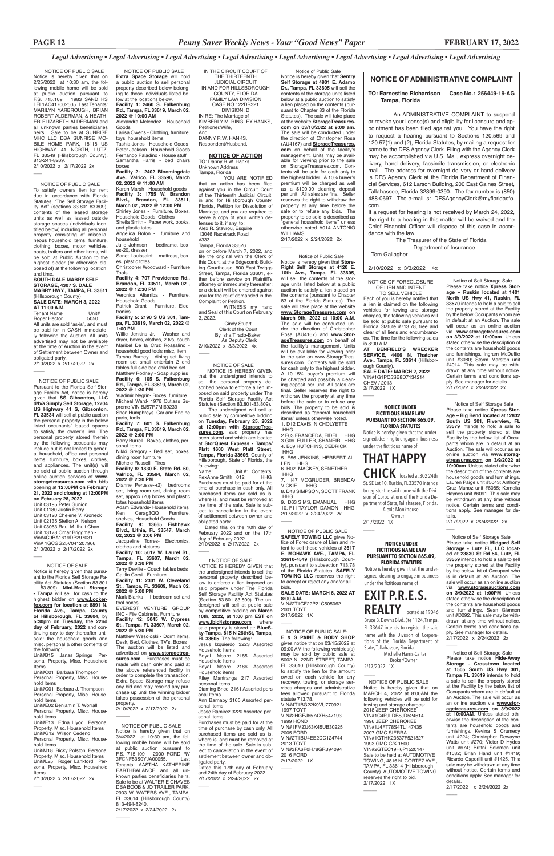NOTICE OF PUBLIC SALE Notice is hereby given that on 2/25/2022 at 10:30 am, the following mobile home will be sold at public auction pursuant to F.S. 715.109 1983 SAND HS LFL1AC417002505. Last Tenants: MARILYN YARBROUGH, BRIAN ROBERT ALDERMAN, & HEATH-ER ELIZABETH ALDERMAN and all unknown parties beneficiaries heirs. Sale to be at SUNRISE MHC LLC DBA SUNRISE MO-BILE HOME PARK, 18118 US HIGHWAY 41 NORTH, LUTZ, FL 33549 (Hillsborough County). 813-241-8269. 2/10/2022 x 2/17/2022 2x

NOTICE OF PUBLIC SALE

 $\overline{\phantom{a}}$ 

To satisfy owners lien for rent due in accordance with Florida Statutes, "The Self Storage Facility Act" (sections 83.801-83.809), contents of the leased storage units as well as leased outside storage spaces (individuals identified below) including all personal property consisting of miscellaneous household items, furniture, clothing, boxes, motor vehicles, boats, trailers and other items, will be sold at Public Auction to the highest bidder (or otherwise disposed of) at the following location and time.

es-20, dresser Sanet Louissaint - mattress, box-

#### **SOUTH DALE MABRY SELF STORAGE, 4307 S. DALE MABRY HWY., TAMPA, FL 33611**

(Hillsborough County) **SALE DATE: MARCH 3, 2022 AT 11:00 A.M.**

Tenant Name Unit#<br>Roger Hector 5050 Roger Hector

All units are sold "as-is", and must be paid for in CASH immediately following the Auction. All units advertised may not be available at the time of Auction in the event of Settlement between Owner and obligated party.

2/10/2022 x 2/17/2022 2x

 $\overline{\phantom{a}}$ 

 NOTICE OF PUBLIC SALE **Extra Space Storage** will hold a public auction to sell personal property described below belonging to those individuals listed below at the locations below. **Facility 1: 2460 S. Falkenburg Rd., Tampa, FL 33619, March 02, 2022 @ 10:00 AM** Alexandra Melendez - Household Goods

Larisa Owens - Clothing, furniture, toys, household items

Tashia Jones - Household Goods Peter Jackson - Household Goods Fernando Paladino - House stuff Samantha Harris - bed chairs boxes **Facility 2: 2402 Bloomingdale** 

**Ave., Valrico, FL 33596, March 02, 2022 @ 11:00 AM** Karen Marsh - Household goods

**Facility 3: 1755 W. Brandon Blvd., Brandon, FL 33511, March 02 , 2022 @ 12:00 PM** Shirley Jones - Furniture, Boxes, Household Goods, Clothes Sheila Smith - Paper work, books, and plastic totes

Angelica Rolon - furniture and household

Julie Johnson - bedframe, box-

es, plastic totes Christopher Woodward - Furniture

Tools **Facility 4: 707 Providence Rd., Brandon, FL 33511, March 02 , 2022 @ 12:30 PM**

Veronica Altarriba - Furniture, Household Goods

Patrick Grant - Furniture, Electronics

**Facility 5: 2190 S US 301, Tampa, FL 33619, March 02, 2022 @ 1:00 PM**

Willie Jenkins Jr. - Washer and dryer, boxes, clothes, 2 tvs, couch Maribel De la Cruz Roasalino household good tools misc, item Tarsha Burney - dining set living room set small entertain 2 end tables full side bed child bed set Matthew Rodney - Soap supplies **Facility 6: 105 S. Falkenburg Rd., Tampa, FL 33619, March 02, 2022 @ 1:30 PM**

Vladimir Negrin- Boxes, furniture Micheal Ward- 1976 Cutlass Supreme VIN BJ57R7MI69239 Shon Humphreys- Car and Engine

parts, tools **Facility 7: 601 S. Falkenburg Rd., Tampa, FL 33619, March 02, 2022 @ 2:00 PM**

Barry Burrell - Boxes, clothes, personal items

Nikki Gregory - Bed set, boxes, dining room furniture Michele Russell - Tires

 The undersigned will sell at public sale by competitive bidding on **Tuesday, February 25, 2022 at 12:00pm with StorageTrea**sures.com, said property has been stored and which are located at **StorQuest Express - Tampa/ Platt 1600 West Platt Street, Tampa, Florida 33606**, County of Hillsborough, State of Florida, the following:<br>Name:

**Facility 8: 1830 E. State Rd. 60, Valrico, FL 33594, March 02, 2022 @ 2:30 PM**

Dianne Perusse--(2) bedrooms set, living room set, dining room set, approx (20) boxes and plastic

Unit #: Contents:<br>012 HHG RexAnne Smith 012 Purchases must be paid for at the time of purchase in cash only. All purchased items are sold as is. where is, and must be removed at the time of the sale. Sale is subject to cancellation in the event of settlement between owner and obligated party.

totes household items Adam Edwards- Household items<br>Ken Cerag3QQ Furniture, Ken Cerag3QQ shelves, Household Goods **Facility 9: 13665 Fishhawk Blvd., Lithia, FL 33547, March 02, 2022 @ 3:00 PM** Jacqueline Torres- Electronics, clothes and pictures **Facility 10: 5012 W. Laurel St., Tampa, FL 33607, March 02, 2022 @ 3:30 PM** Terry Deville - Couch tables beds Caitlin Corsi - Furniture

 $\overline{\phantom{a}}$  NOTICE OF SALE Notice is hereby given that pursuant to the Florida Self Storage Facility Act Statutes (Section 83.801 – 83.809); **Mini-Maxi Storage - Tampa** will sell for cash to the highest bidder on **www.Lockerfox.com for location at 8891 N. Florida Ave., Tampa, County of Hillsborough, FL 33604**, by **5:30pm on Tuesday, the 22nd day of February, 2022** and con-

**Facility 11: 2301 W. Cleveland St., Tampa, FL 33609, Mach 02, 2022 @ 5:00 PM** Mark Blanks - 1 bedroom set and tool boxes EVEREST VENTURE GROUP

INC - File Cabinets, Furniture **Facility 12: 5045 W. Cypress St., Tampa, FL 33607, March 02,** 

**2022 @ 5:30 PM**

 $\overline{\phantom{a}}$ 

 $\overline{\phantom{a}}$ 

Matthew Wesoloski - Dorm items, Desk, Bed, Clothes, TV's, Boxes The auction will be listed and advertised on **www.storagetreasures.com**. Purchases must be made with cash only and paid at the above referenced facility in order to complete the transaction. Extra Space Storage may refuse any bid and may rescind any purchase up until the winning bidder takes possession of the personal property. 2/10/2022 x 2/17/2022 2x

IN THE CIRCUIT COURT OF THE THIRTEENTH JUDICIAL CIRCUIT IN AND FOR HILLSBOROUGH COUNTY, FLORIDA FAMILY LAW DIVISION CASE NO.: 22DR321 DIVISION: D IN RE: The Marriage of

KIMBERLY M. RINGLEY-HANKS, Petitioner/Wife, And DANNY R.W. HANKS,

Respondent/Husband.

**NOTICE OF ACTION** TO: Danny R.W. Hanks Unknown Address Tampa, Florida

YOU ARE NOTIFIED that an action has been filed against you in the Circuit Court of the Thirteenth Judicial Circuit, in and for Hillsborough County, Florida, Petition for Dissolution of Marriage, and you are required to serve a copy of your written defenses to it, if any, to: Alex R. Stavrou, Esquire 13046 Racetrack Road #333

Tampa, Florida 33626 on or before March 7, 2022, and file the original with the Clerk of this Court, at the Edgecomb Building Courthouse, 800 East Twiggs Street, Tampa, Florida 33601, either before service on Plaintiff's attorney or immediately thereafter; or a default will be entered against you for the relief demanded in the Complaint or Petition.

WITNESS my hand and Seal of this Court on February 3, 2022.

 Cindy Stuart Clerk of the Court By Isha Tirado-Baker As Deputy Clerk 2/10/2022 x 3/3/2022 4x

 NOTICE OF PUBLIC SALE Pursuant to the Florida Self-Storage Facility Act, notice is hereby given that **SS Gibsonton, LLC d/b/a Simply Self Storage, 12704 US Highway 41 S, Gibsonton, FL 33534** will sell at public auction the personal property in the below listed occupants' leased spaces to satisfy the owner's lien. The personal property stored therein by the following occupants may include but is not limited to general household, office and personal items, furniture, boxes, clothes, and appliances. The unit(s) will be sold at public auction through online auction services of **www. storagetreasures.com** with bids opening at **12:00PM on February 21, 2022 and closing at 12:00PM on February 28, 2022**

Unit 03195 Peter Gunion Unit 01180 Justin Perry Unit 03120 Chelene V. Kroneck Unit 02135 Steffon A. Nelson Unit 03063 Raul M. Ihuit Chan Unit 13178 Omar Briggman - Vin#4C9BA1619DP297031 – Vin# 1GCGG25V041207966

2/10/2022 x 2/17/2022 2x

#### NOTICE OF SALE

 $\overline{\phantom{a}}$ 

 NOTICE IS HEREBY GIVEN that the undersigned intends to sell the personal property described below to enforce a lien imposed on said property under The Florida Self Storage Facility Act Statutes (Section 83.801-83.809).

 Notice of Self Storage Sale Please take notice **Xpress Storage – Ruskin located at 1401 North US Hwy 41, Ruskin, FL 33570** intends to hold a sale to sell the property stored at the Facility by the below Occupants whom are in default at an Auction. The sale will occur as an online auction via **www.storagetreasures.com on 3/9/2022 at 10:00am**. Unless stated otherwise the description of the contents are household goods and furnishings. Ingram McDuffie unit #3080; Storm Marston unit #4014. This sale may be withdrawn at any time without notice. Certain terms and conditions apply. See manager for details. 2/17/2022 x 2/24/2022 2x  $\overline{\phantom{a}}$ 

 Dated this on the 10th day of February 2022 and on the 17th day of February 2022. 2/10/2022 x 2/17/2022 2x

 $\overline{\phantom{a}}$ 

tinuing day to day thereafter until sold: the household goods and misc. personal & other contents of the following:

Unit#B15 Janas Springs Personal Property, Misc. Household Items

Unit#C01 Barbara Thompson Personal Property, Misc. Household Items

Unit#C01 Barbara J. Thompson Personal Property, Misc. Household Items

Unit#E02 Benjamin T. Worrall Personal Property, Misc. Household Items

 $\overline{\phantom{a}}$  Notice of Self Storage Sale Please take notice **Midgard Self Storage - Lutz FL, LLC located at 23830 St Rd 54, Lutz, FL 33559** intends to hold a sale to sell the property stored at the Facility by the below list of Occupant who is in default at an Auction. The sale will occur as an online auction via **www.storageauctions.com on 3/9/2022 at 1:00PM**. Unless stated otherwise the description of the contents are household goods and furnishings. Sean Glennon unit #D292. This sale may be withdrawn at any time without notice. Certain terms and conditions ap-

ply. See manager for details. 2/17/2022 x 2/24/2022 2x  $\overline{\phantom{a}}$ 

Unit#E13 Edna Llyod Personal Property, Misc. Household Items Unit#G12 Wilson Cedeno Personal Property, Misc. Household Items

Unit#J18 Ricky Polston Personal Property, Misc. Household Items Unit#L25 Roger Lankford Personal Property, Misc. Household Items

2/10/2022 x 2/17/2022 2x

 $\overline{\phantom{a}}$ 

# **NOTICE OF ADMINISTRATIVE COMPLAINT**

#### **TO: Earnestine Richardson Case No.: 256449-19-AG Tampa, Florida**

An ADMINISTRATIVE COMPLAINT to suspend or revoke your license(s) and eligibility for licensure and appointment has been filed against you. You have the right to request a hearing pursuant to Sections 120.569 and 120.57(1) and (2), Florida Statutes, by mailing a request for same to the DFS Agency Clerk. Filing with the Agency Clerk may be accomplished via U.S. Mail, express overnight delivery, hand delivery, facsimile transmission, or electronic mail. The address for overnight delivery or hand delivery is DFS Agency Clerk at the Florida Department of Financial Services, 612 Larson Building, 200 East Gaines Street, Tallahassee, Florida 32399-0390. The fax number is (850) 488-0697. The e-mail is: DFSAgencyClerk@myfloridacfo. com.

If a request for hearing is not received by March 24, 2022, the right to a hearing in this matter will be waived and the Chief Financial Officer will dispose of this case in accordance with the law.

> The Treasurer of the State of Florida Department of Insurance

Tom Gallagher

#### 2/10/2022 x 3/3/2022 4x

 t NOTICE OF SALE NOTICE IS HEREBY GIVEN that the undersigned intends to sell the personal property described below to enforce a lien imposed on said property under The Florida Self Storage Facility Act Statutes (Section 83.801-83.809). The undersigned will sell at public sale by competitive bidding on **March 10th, 2022, at 1:00 pm EST on www.ibid4storage.com** where<br>said property is stored at: **BlueS**said property is stored at **ky-Tampa, 815 N 26thSt, Tampa, FL 33605** The following:

Jesus Izquierdo 3223 Assorted Household Items Royal Moore 2185 Assorted Household Items Royal Moore 2186 Assorted Household items Riley Mantranga 217 Assorted personal items Diaming Brice 3161 Assorted pers onal Items Ann Barnaby 3165 Assorted personal Items Jesse Ramirez 3220 Assorted personal Items Purchases must be paid for at the time of purchase by cash only. All purchased items are sold as is, where is, and must be removed at the time of the sale. Sale is subject to cancellation in the event of settlement between owner and ob-

ligated party.

 $\overline{\phantom{a}}$ 

Dated this 17th day of February and 24th day of February 2022. 2/17/2022 x 2/24/2022 2x

Notice of Public Sale

Notice is hereby given that **Sentry Self Storage at 4901 E. Adamo**  Dr., Tampa, FL 33605 will sell the contents of the storage units listed below at a public auction to satisfy a lien placed on the contents (pursuant to Chapter 83 of the Florida Statutes). The sale will take place at the website **StorageTreasures. com on 03/10/2022 at 9:00 am**. The sale will be conducted under the direction of Christopher Rosa (AU4167) and **StorageTreasures. com** on behalf of the facility's management. Units may be available for viewing prior to the sale on StorageTreasures.com. Contents will be sold for cash only to the highest bidder. A 10% buyer's premium will be charged as well as a \$100.00 cleaning deposit per unit. All sales are final. Seller reserves the right to withdraw the property at any time before the sale or to refuse any bids. The property to be sold is described as "general household items" unless otherwise noted A014 ANTONIO WILLIAMS 2/17/2022 x 2/24/2022 2x

 $\overline{\phantom{a}}$ 

 Notice of Public Sale Notice is hereby given that **Store-Right Self Storage at 4120 E. 10th Ave., Tampa, FL 33605**, will sell the contents of the storage units listed below at a public auction to satisfy a lien placed on the contents (pursuant to Chapter 83 of the Florida Statutes). The sale will take place at the website **www.StorageTreasures.com on March 9th, 2022 at 10:00 A.M**. The sale will be conducted under the direction of Christopher Rosa (AU4167) and **www.StorageTreasures.com** on behalf of the facility's management. Units will be available for viewing prior to the sale on www.StorageTreasures.com. Contents will be sold for cash only to the highest bidder. A 10-15% buyer's premium will be charged and possibly a cleaning deposit per unit. All sales are final. Seller reserves the right to withdraw the property at any time before the sale or to refuse any bids. The property to be sold is described as "general household items" unless otherwise noted. 1. D12 DAVIS, NICHOLYETTE **HHG** 2.F03 FRANCEDA, FIDEL HHG

3.G06 FULLER, SHANEIR HHG 4. B09 HUTCHINS, CEDRICK

 HHG 5. E56 JENKINS, HERBERT AL-LEN HHG

6. H02 MACKEY, SENETHER HHG 7. I47 MCGRUDER, BRENDA/

VICKIE HHG 8. D43 SIMPSON, SCOTT FRANK HHG

9. D63 SIMS, EMANUAL HHG 10. F11 TAYLOR, DAMON HHG 2/17/2022 x 2/24/2022 2x

 $\overline{\phantom{a}}$ 

 $\overline{\phantom{a}}$ 

 $\overline{\phantom{a}}$ 

 NOTICE OF PUBLIC SALE **SAFELY TOWING LLC** gives Notice of Foreclosure of Lien and intent to sell these vehicles at **3617 E. MOHAWK AVE., TAMPA, FL 33610-4549** (Hillsborough County), pursuant to subsection 713.78 of the Florida Statutes. **SAFELY TOWING LLC** reserves the right to accept or reject any and/or all bids.

**SALE DATE: MARCH 6, 2022 AT 8:00 A.M.** VIN#2T1CF22P21C505062 2001 TOYT

2/17/2022 1X

 NOTICE OF PUBLIC SALE: **E & S PAINT & BODY SHOP** gives notice that on 03/15/2022 at 09:00 AM the following vehicles(s) may be sold by public sale at 5002 N. 22ND STREET, TAMPA FL 33610 (Hillsborough County) to satisfy the lien for the amount owed on each vehicle for any recovery, towing, or storage services charges and administrative fees allowed pursuant to Florida statute 713.78. VIN#4T1BG22K9VU770921 1997 TOYT VIN#2HGEJ6574XH547193 1999 HOND VIN#1FMZU63K45UB30225 2005 FORD VIN#2T1BU4EE2DC124744 2013 TOYT VIN#3FA6P0H78GR394094 2016 FORD 2/17/2022 1X

NOTICE OF FORECLOSURE OF LIEN AND INTENT TO SELL VEHICLE

Each of you is hereby notified that a lien is claimed on the following vehicles for towing and storage charges, the following vehicles will be sold at public sale pursuant to Florida Statute #713.78, free and clear of all liens and encumbrances. The time for the following sales is 8:00 A.M. **AT BENFIELD'S WRECKER** 

**SERVICE, 4406 N. Thatcher Ave., Tampa, FL 33614** (Hillsborough County). **SALE DATE: MARCH 2, 2022**

VIN#1G1PC5SB8D7134214 CHEV / 2013 2/17/2022 1X

 $\overline{\phantom{a}}$ 

#### **NOTICE UNDER FICTITIOUS NAME LAW PURSUANT TO SECTION 865.09, FLORIDA STATUTES**

Notice is hereby given that the undersigned, desiring to engage in business under the fictitious name of

# **THAT HAPPY CHICK** located at 302 24th

St. SE Lot 10, Ruskin, FL 33570 intends to register the said name with the Division of Corporations of the Florida Department of State, Tallahassee, Florida. Alexis Monkhouse

 Owner 2/17/2022 1X

 $\overline{\phantom{a}}$ 

 Notice of Self Storage Sale Please take notice **Xpress Storage – Big Bend located at 12832 South US 301, Riverview, FL 33579** intends to hold a sale to sell the property stored at the Facility by the below list of Occupants whom are in default at an Auction. The sale will occur as an online auction via **www.storagetreasures.com on 3/9/2022 at 10:00am**. Unless stated otherwise the description of the contents are household goods and furnishings. Lauren Paige unit #5043; Anthony Cruz Munoz unit #6085; Kornelia Haynes unit #6091. This sale may be withdrawn at any time without notice. Certain terms and conditions apply. See manager for details.

2/17/2022 x 2/24/2022 2x

 Notice of Self Storage Sale Please take notice **Hide-Away Storage - Crosstown located at 1505 South US Hwy 301, Tampa FL 33619** intends to hold a sale to sell the property stored at the Facility by the below list of Occupants whom are in default at an Auction. The sale will occur as an online auction via **www.storagetreasures.com on 3/9/2022 at 10:00AM**. Unless stated otherwise the description of the contents are household goods and furnishings. Kevina S Crumedy unit #224; Christopher Dewayne Watts unit #270; Victor D Hydes unit #674; Brittni Solomon unit #1032; Brian Hand unit #1419; Ricardo Caporilli unit #1425. This sale may be withdrawn at any time without notice. Certain terms and conditions apply. See manager for details. 2/17/2022 x 2/24/2022 2x

 $\overline{\phantom{a}}$ 

 NOTICE OF PUBLIC SALE Notice is hereby given that on 3/4/2022 at 10:30 am, the following mobile home will be sold at public auction pursuant to F.S. 715.109 2000 FORD RV 3FCNF53S0YJA00055. Last Tenants: AASTHA KATHERINE EARTHBALANCE and all unknown parties beneficiaries heirs. Sale to be at WALTER E CHAVES DBA BOOB & JO TRAILER PARK, 2903 W. WATERS AVE., TAMPA, FL 33614 (Hillsborough County) 813-494-8240. 2/17/2022 x 2/24/2022 2x

 NOTICE OF PUBLIC SALE Notice is hereby given that on MARCH 4, 2022 at 8:00AM the following vehicles will be sold for towing and storage charges: 2018 JEEP CHEROKEE VIN#1C4PJLDB8JD524614 1996 JEEP CHEROKEE VIN#1.I4FT78S4TL147435 2007 GMC SIERRA VIN#1GTHK23637F521827 1993 GMC C/K 1500 VIN#2GTEC19H6P1520147 Sale to be held at AUTOMOTIVE TOWING, 4816 N. CORTEZ AVE., TAMPA, FL 33614 (Hillsborough County). AUTOMOTIVE TOWING reserves the right to bid. 2/17/2022 1X

 $\overline{\phantom{a}}$ 

#### **NOTICE UNDER FICTITIOUS NAME LAW PURSUANT TO SECTION 865.09, FLORIDA STATUTES**

Notice is hereby given that the undersigned, desiring to engage in business under the fictitious name of

# **EXIT P.R.E.S.**

**REALTY** located at 19046 Bruce B. Downs Blvd. Ste 1124, Tampa, FL 33647 intends to register the said

name with the Division of Corporations of the Florida Department of State, Tallahassee, Florida.

 Michelle Harris-Carter Broker/Owner 2/17/2022 1X

\_\_\_\_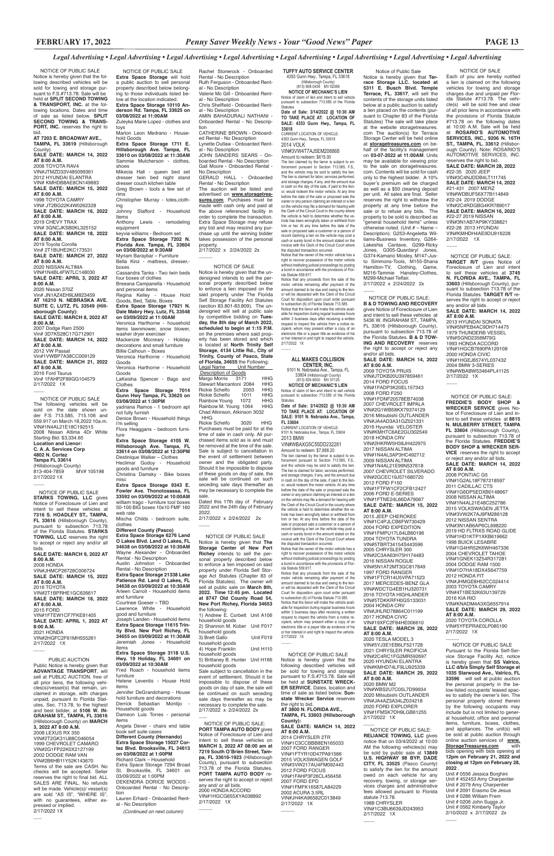2/17/2022 x 2/24/2022 2x  $\overline{\phantom{a}}$ 

Rachel Stonerock - Onboarded Rental - No Description Ruth Ferguson - Onboarded Rental - No Description Valerie Mc Gill - Onboarded Rental - No Description Chris Sheffield - Onboarded Rental - No Description AMIN BAHADURALI NATHANI - Onboarded Rental - No Description CATHERINE BROWN - Onboarded Rental - No Description Lynette Outlaw - Onboarded Rental - No Description JOHN SANDERS SEARS - Onboarded Rental - No Description Gail Moore - Onboarded Rental -

No Description GERALD HALL - Onboarded Rental - No Description The auction will be listed and advertised on **www.storagetreasures.com**. Purchases must be made with cash only and paid at the above referenced facility in order to complete the transaction. Extra Space Storage may refuse any bid and may rescind any purchase up until the winning bidder takes possession of the personal property.

 NOTICE OF PUBLIC SALE **Extra Space Storage** will hold a public auction to sell personal property described below belonging to those individuals listed below at the location indicated: **Extra Space Storage 10110 Anderson Rd. Tampa, FL 33625 on 03/08/2022 at 11:00AM** Zuleyka Marie Lopez - clothes and Marlon Leon Medrano - Household Goods **Extra Space Storage 1711 E. Hillsborough Ave. Tampa, FL 33610 on 03/08/2022 at 11:30AM** Sammie Mutcherson - clothes, shoes Mikecia Hall - queen bed set dresser twin bed night stand dresser couch kitchen table Greg Brown - tools a few set of Christopher Murray - totes,cloth-Johnny Stafford - Household Items Anthony Lewis - remodeling equipment keyvia williams - Bedroom set **Extra Space Storage 7202 N. Florida Ave. Tampa, FL 33604 on 03/08/2022 at 9:30AM** Myriam Baraybar – Furniture Bella Kinz - mattress, dresser, boxes Cassandra Tanks - Two twin beds four boxes of clothes Breeana Campanella - Household and personal items Regina Kelley - House Hold Goods, Bed, Table, Boxes **Extra Space Storage 17921 N. Dale Mabry Hwy. Lutz, FL 33548 on 03/09/2022 at 11:00AM**  Veronica Harthorne - household items lawnmower, snow blower, washer dryer exerciser Mackenzie Mccreary - Holiday decorations and small furniture Billie Calhoun – Boxes Veronica Harthorne - Household Goods Veronica Harthorne - Household Goods LaKeisha Spencer - Bags and Clothes **Extra Space Storage 7014 Gunn Hwy Tampa, FL 33625 on 03/08/2022 at 1:30PM** yadriana Ramos - 1 bedroom apt not fully furnish Denice Brown - Household things I'm selling Flora Heaggans - bedroom furni-**Extra Space Storage 4105 W. Hillsborough Ave. Tampa, FL 33614 on 03/08/2022 at 12:30PM** Destinique Walker – Clothes Heclimar Godoy - Household goods and furniture Christina Damsky - Bike boxes misc **Extra Space Storage 9343 E. Fowler Ave. Thonotosassa, FL 33592 on 03/09/2022 at 10:00AM**  william trago - furniture tool boxes 50-100 BIG boxes 10x10 FMF 160 web rate Mischa Childs - bedroom suite,

Notice that any proceeds from the sale of the motor vehicle remaining after payment of the amount claimed to be due and owing to the lien-or will be deposited with the Clerk of the Circuit Court for disposition upon court order pursuant to subsection (6) of Florida Statute 713.585. Notice that the lienor will make the vehicle available for inspection during regular business hours within 3 business days after receiving a written request to inspect the vehicle from a notice recipient, whom may present either a copy of an electronic title or a paper title as evidence of his or her interest in and right to inspect the vehicle. 2/17/2022 1X  $\sim$ 

clothes **Different County (Pasco) Extra Space Storage 6276 Land O Lakes Blvd. Land O Lakes, FL 34638 on 03/08/2022 at 10:30AM**  Wayne Alexander - Onboarded Rental - No Description Austin Johnston - Onboarded Rental - No Description **Extra Space Storage 21338 Lake Patience Rd. Land O Lakes, FL 34638 on 03/09/2022 at 10:30AM**  Arleen Carroll - Household items and furniture Courtnee Goeser – TBD Lawrence White - Household good and furniture Joseph Landen - Household items **Extra Space Storage 11615 Trinity Blvd. New Port Richey, FL 34655 on 03/09/2022 at 11:30AM** Jeremiah Jones items

#### **Extra Space Storage 3118 U.S. Hwy. 19 Holiday, FL 34691 on 03/09/2022 at 10:30AM**

Fred Roach - household items furniture

Helene Leventis - House Hold items

Jennifer DeGrandchamp - House hold furniture and decorations Derrick Sebastian Montijo Household goods Dameon Luis Torres - personal items

 NOTICE OF PUBLIC SALE Notice is hereby given that the following described vehicles will be sold for towing and storage pursuant to F.S.#713.78. Sale will be held at **SPLIT SECOND TOWING & TRANSPORT, INC.** at the following locations. Dates and time of sale as listed below. **SPLIT SECOND TOWING & TRANS-PORT, INC.** reserves the right to bid. **AT 7203 E. BROADWAY AVE., TAMPA, FL 33619** (Hillsborough County) **SALE DATE: MARCH 14, 2022 AT 8:00 A.M.** 2008 TOYOTA RAV4 VIN#JTMZD33V485099361 2012 HYUNDAI ELANTRA VIN# KMHDB8AE8CN149883 **SALE DATE: MARCH 15, 2022 AT 8:00 A.M.** 1998 TOYOTA CAMRY VIN# JT2BG22K4W0262328 **SALE DATE: MARCH 16, 2022 AT 8:00 A.M.** 2019 CHEVY TRAX VIN# 3GNCJKSB0KL325152 **SALE DATE: MARCH 18, 2022 AT 8:00 A.M.** 2019 Toyota Corolla Vin# 2T1BUHE2KC173531 **SALE DATE: MARCH 27, 2022 AT 8:00 A.M.** 2020 NISSAN ALTIMA VIN#1N4BL4FW7LC148030 **SALE DATE: APRIL 3, 2022 AT 8:00 A.M.** 2020 Nissan 370Z Vin# JN1AZ4EH9LM823459 **AT 16210 N. NEBRASKA AVE. SUITE C, LUTZ, FL 33549 (Hillsborough County): SALE DATE: MARCH 8, 2022 AT 8:00 A.M.** 2007 Dodge Ram 2500 Vin# 3D7KS28C17G712901 **SALE DATE: MARCH 14, 2022 AT 8:00 A.M.** 2012 VW Passat Vin#1VWBP7A38CC009129 **SALE DATE: MARCH 21, 2022 AT 8:00 A.M.** 2016 Ford Taurus Vin# 1FAHP2F89GG104579 2/17/2022 1X  $\overline{\phantom{a}}$ toys rims ing ture NOTICE OF PUBLIC SALE The following vehicles will be sold on the date shown under F.S 713.585, 715.106 and 559.917 on March 18,2022 10a.m. VIN#1N4AL21E18C192515 2008 Nissan Altima 4Dr White Starting Bid: \$3,334.65 **Location and Lienor: C. A .A. Services Corp 4802 N. Cortez Tampa FL 33614**

(Hillsborough County)<br>813-404-7859 MV# 105198 813-404-7859 2/17/2022 1X  $\overline{\phantom{a}}$ 

> Angela Dever - chairs end table book self suite cases **Different County (Hernando) Extra Space Storage 15027 Cortez Blvd. Brooksville, FL 34613 on 03/08/2022 at 1:00PM** Richard Clark – Household Extra Space Storage 7294 Broad St. Brooksville, FL 34601 on 03/09/2022 at 1:00PM DEKENDRA DORICE WOODS - Onboarded Rental - No Description

Lauren Erhard - Onboarded Rental - No Description

*(Continued on next column)*

**TUFFY AUTO SERVICE CENTER**

4353 Gunn Hwy., Tampa, FL 33618 (Hillsborough County) (813) 908-0438 MV 62369 **NOTICE OF MECHANIC'S LIEN** Notice of claim of lien and intent to sell vehicle

pursuant to subsection 713.585 of the Florida Statutes. **Date of Sale: 3/14/2022 @ 10:30 AM TO TAKE PLACE AT: LOCATION OF SALE: 4353 Gunn Hwy., Tampa, FL 33618**

CURRENT LOCATION OF VEHICLE: 4353 Gunn Hwy., Tampa, FL 33618 2014 VOLK VIN#3VW4T7AJ5EM208868 Amount to redeem: \$615.00

Notice is hereby given that **Terrace Storage LLC. located at 5311 E. Busch Blvd. Temple Terrace, FL. 33617**, will sell the contents of the storage units listed below at a public auction to satisfy a lien placed on the contents (pursuant to Chapter 83 of the Florida Statutes) The sale will take place at the website storagetreasures. com The auction(s) for Terrace Storage Center will be held online at **storagetreasures.com** on behalf of the facility's management on **03-07-2022 at 11:00AM**. Units may be available for viewing prior to the sale on storagetreasures. com. Contents will be sold for cash only to the highest bidder. A 10% buyer's premium will be charged as well as a \$50 cleaning deposit per unit. All sales are final. Seller reserves the right to withdraw the property at any time before the sale or to refuse any bids. The property to be sold is described as "general household items" unless otherwise noted. (Unit # – Name – Description): G253-Angeletta Williams-Business Inventory, G264- Lakeshia Cantave, G299-Ricky Jones, G305-Quardaryl Jones, G374-Kamario Mosley, M147-Justo Simmons-Tools, M155-Shana Hamilton-TV, Clothing, Game, M216-Tammie Hansley-Clothes, M299-Michael Telfair. 2/17/2022 x 2/24/2022 2x  $\overline{\phantom{a}}$ 

The lien claimed by the lienor is subject to enforcement pursuant to Section 713.585, F.S., and the vehicle may be sold to satisfy the lien. The lien is claimed for labor, services performed, and storage charges, if any, and the amount due in cash on the day of the sale, if paid to the lienor, would redeem the motor vehicle. At any time before the date of the sale or proposed sale the owner or any person claiming an interest or a lien on the vehicle may file a demand for hearing with the Clerk of the Circuit Court in the county where the vehicle is held to determine whether the ve-hicle has been wrongfully taken or withheld from him or her. At any time before the date of the sale or proposed sale a customer or a person of record claiming a lien on the vehicle may post a cash or surety bond in the amount stated on the invoice with the Clerk of the Circuit Court where the disputed transaction occurred.

Notice that the owner of the motor vehicle has a right to recover possession of the motor vehicle without instituting judicial proceedings by posting a bond in accordance with the provisions of Flor-ida Statute 559.917.

# **ALL MAKES COLLISION**

**CENTER, INC.** 9101 N. Nebraska Ave., Tampa, FL 33604 (Hillsborough County) (813) 935-9000 MV 57125

**NOTICE OF MECHANIC'S LIEN** Notice of claim of lien and intent to sell vehicle pursuant to subsection 713.585 of the Florida Statutes. **Date of Sale: 3/14/2022 @ 10:30 AM TO TAKE PLACE AT: LOCATION OF** 

**SALE: 9101 N. Nebraska Ave., Tampa, FL 33604** CURRENT LOCATION OF VEHICLE: 9101 N. Nebraska Ave., Tampa, FL 33604 2013 BMW VIN#WBAXG5C55DD232281 Amount to redeem: \$7,888.20 The lien claimed by the lienor is subject to enforcement pursuant to Section 713.585, F.S. and the vehicle may be sold to satisfy the lien. The lien is claimed for labor, services performed, and storage charges, if any, and the amount due in cash on the day of the sale, if paid to the lienor, would redeem the motor vehicle. At any time before the date of the sale or proposed sale the owner or any person claiming an interest or a lien on the vehicle may file a demand for hearing with the Clerk of the Circuit Court in the county where the vehicle is held to determine whether the vehicle has been wrongfully taken or withheld from him or her. At any time before the date of the sale or proposed sale a customer or a person of record claiming a lien on the vehicle may post a cash or surety bond in the amount stated on the invoice with the Clerk of the Circuit Court where

 NOTICE OF PUBLIC SALE: **PORT TAMPA AUTO BODY** gives Notice of Foreclosure of Lien and intent to sell these vehicles on **MARCH 3, 2022 AT 08:00 am at 7219 South O'Brien Street, Tampa, FL 33616-1923** (Hillsborough County), pursuant to subsection 713.78 of the Florida Statutes. **PORT TAMPA AUTO BODY** reserves the right to accept or reject any and/ or all bids. 2000 HONDA ACCORD VIN#1HGCG655XYA038892 2/17/2022 1X  $\overline{\phantom{a}}$ 

the disputed transaction occurred. Notice that the owner of the motor vehicle has a right to recover possession of the motor vehicle without instituting judicial proceedings by posting a bond in accordance with the provisions of Florida Statute 559.917.

Notice that any proceeds from the sale of the motor vehicle remaining after payment of the amount claimed to be due and owing to the lienor will be deposited with the Clerk of the Circuit Court for disposition upon court order pursuant to subsection (6) of Florida Statute 713.585.

Notice that the lienor will make the vehicle available for inspection during regular business hours within 3 business days after receiving a written request to inspect the vehicle from a notice recipient, whom may present either a copy of an electronic title or a paper title as evidence of his

or her interest in and right to inspect the vehicle. 2/17/2022 1X

 $\sim$ 

Notice is hereby given that the following described vehicles will be sold for towing and storage pursuant to F.S.#713.78. Sale will be held at **SUNSTATE WRECK-ER SERVICE**. Dates, location and time of sale as listed below. **Sunstate Wrecker Service** reserves the right to bid.

 NOTICE OF PUBLIC SALE **STARKS TOWING, LLC** gives Notice of Foreclosure of Lien and intent to sell these vehicles at **7316 S. HOADLEY ST., TAMPA, FL 33616** (Hillsborough County), pursuant to subsection 713.78 of the Florida Statutes. **STARKS TOWING, LLC** reserves the right to accept or reject any and/or all bids.

> **AT 8:00 A.M.** 2014 CHRYSLER 2TR VIN#1C3CCBBB8EN165033 2007 FORD RANGER VIN#1FTYR10D47PA91566 2015 VOLKSWAGEN GOLF VIN#3VW217AU4FM092443 2012 FORD FOCUS VIN#1FAHP3F26CL456456 2007 FORD EPD VIN#1FMFK16587LA84229 2002 ACURA 3.5RL VIN#JH4KA96582C013849 2/17/2022 1X  $\overline{\phantom{a}}$

**SALE DATE: MARCH 9, 2022 AT 8:00 A.M.**

2008 HONDA

VIN#JHMCP26728C006724 **SALE DATE: MARCH 15, 2022** 

**AT 8:00 A.M.** 2016 TOYOTA VIN#2T1BPRHE1GC626617

**SALE DATE: MARCH 18, 2022 AT 8:00 A.M.** 2015 FORD

VIN#1FTEW1CF7FKE81405 **SALE DATE: APRIL 1, 2022 AT 8:00 A.M.**

2021 HONDA VIN#2HGFC2F61MH555261 2/17/2022 1X

 $\overline{\phantom{a}}$ 

 $\overline{\phantom{a}}$ 

#### NOTICE OF SALE

Notice is hereby given that the undersigned intends to sell the personal property described below to enforce a lien imposed on the said property under The Florida Self Storage Facility Act Statutes (section 83.801-83.809). The undersigned will sell at public sale by competitive bidding on **Tuesday, the 8th day of March 2022, scheduled to begin at 1:15 P.M.** on the premises where said property has been stored and which is located at **North Trinity Self Storage, 4134 Little Rd., City of Trinity, County of Pasco, State of Florida, 34655** the Following: Legal Name Unit Number Description of Goods

Margo Morris 3171 HHG Stewart Marcantoni 2084 HHG Rickie Schelfo 2003 HHG<br>Rickie Schelfo 1011 HHG Rickie Schelfo 1011 HHG<br>Rainbow Young 1072 HHG Rainbow Young 1072 HHG<br>Rainbow M. Young 1064 HHG Rainbow M. Young 1064 Chad Atkinson, Atkinson 3032 HHG Rickie Schelfo 3020 HHG Purchases must be paid for at the time of sale in cash only. All pur-

chased items sold as is and must be removed at the time of the sale. Sale is subject to cancellation in the event of settlement between owner and the obligated party. Should it be impossible to dispose of these goods on day of sale, the sale will be continued on such seceding sale days thereafter as may be necessary to complete the sale.

Dated this 17th day of February 2022 and the 24th day of February 2022.

2/17/2022 x 2/24/2022 2x

 $\overline{\phantom{a}}$ 

# Notice of Public Sale

 NOTICE OF PUBLIC SALE: **RELIANCE TOWING, LLC** gives notice that on 03/4/2022 at 10:00 AM the following vehicles(s) may be sold by public sale at **13849 U.S. HIGHWAY 98 BYP, DADE CITY, FL 33525** (Pasco County) to satisfy the lien for the amount owed on each vehicle for any recovery, towing, or storage services charges and administrative fees allowed pursuant to Florida statute 713.78. 1988 CHRYSLER VIN#1C3BU6639JD243953 2/17/2022 1X

 $\overline{\phantom{a}}$ 

 $\overline{\phantom{a}}$ 

 NOTICE OF PUBLIC SALE: **B & D TOWING AND RECOVERY**  gives Notice of Foreclosure of Lien and intent to sell these vehicles at 5436 W. INGRAHAM ST., TAMPA, FL 33616 (Hillsborough County), pursuant to subsection 713.78 of the Florida Statutes. **B & D TOW-ING AND RECOVERY** reserves the right to accept or reject any and/or all bids. **SALE DATE: MARCH 14, 2022 AT 8:00 A.M.**

2009 TOYOTA PRUIS VIN#JTDKB20U397859461 2014 FORD FOCUS VIN#1FADP3K20EL157343 2008 FORD F250 VIN#1FDNF20578EB74038 2007 CHEVROLET IMPALA VIN#2G1WB58KX79374129 2016 Mitsubishi OUTLANDER VIN#JA4AD3A31GZ021331 2016 Hyundai VELOSTER VIN#KMHTC6AE2GU302549 2018 HONDA CRV VIN#2HKRW5H38JH422975 2017 NISSAN ALTIMA VIN#1N4AL3AP3HC492712 2009 NISSAN ALTIMA VIN#1N4AL21E99N537618 2007 CHEVROLET SILVERADO VIN#2GCEC19J571680720 2012 FORD F150 VIN#1FTFW1CF2CFB12427 2006 FORD E-SERIES VIN#1FTNE24L66DA79067 **SALE DATE: MARCH 15, 2022 AT 8:00 A.M.** 2015 JEEP CHEROKEE VIN#1C4PJLCB6FW730429 2004 FORD EXPEDITION VIN#1FMPU17L64LB60196 2004 TOYOTA TUNDRA VIN#5TBRT34154S443596 2005 CHRYSLER 300 VIN#2C3AA63H75H174483 2016 NISSAN ROGUE VIN#5N1AT2MT3GC817849 1997 FORD RANGER VIN#1FTCR14U5VPA71523 2017 MERCEDES-BENZ GLA VIN#WDCTG4EB1HJ320731

2016 TOYOTA HIGHLANDER VIN#5TDKKRFH0GS133031 2004 HONDA CRV VIN#JHLRD78864C011199 2017 HONDA CIVIC VIN#19XFC2F84HE006610 **SALE DATE: MARCH 28, 2022** 

#### **AT 8:00 A.M.**

2020 TESLA MODEL 3 VIN#5YJ3E1EB6LF521728 2021 CHRYSLER PACIFICIA VIN#2C4RC1FG2MR592697 2020 HYUNDAI ELANTRA VIN#KMHD74LF9LU925339 **SALE DATE: MARCH 29, 2022 AT 8:00 A.M.** 2020 BMW M2

VIN#WBS2U7C05L7D99934 2020 Mitsubishi OUTLANDER VIN#JA4AZ3A34LZ024218 2020 FORD EXPLORER VIN#1FMSK7DH9LGB61255 2/17/2022 1X

 NOTICE OF PUBLIC SALE Notice is hereby given that **The Storage Center of New Port Richey** intends to sell the personal property described below to enforce a lien imposed on said property under Florida Self Storage Act Statutes (Chapter 83 of Florida Statutes). The owner will sell at public sale on **March 8th, 2022. Time 12:45 pm. Located at 8747 Old County Road 54, New Port Richey, Florida 34653** the following:

1) Andrew E. Corbett Unit A106 household goods 2) Shannon M. Kober Unit F017

household goods 3) Brett Gallo Unit F019 household goods 4) Hope Franklin Unit H110

household goods

5) Brittaney B. Hunter Unit H166 household goods

Sale subject to cancellation in the event of settlement. Should it be impossible to dispose of these goods on day of sale, the sale will be continued on such seceding sale days thereafter as may be necessary to complete the sale. 2/17/2022 x 2/24/2022 2x

\_\_\_

#### PUBLIC AUCTION

Public Notice is hereby given that **ADVANTAGE TRANSPORT**, will sell at PUBLIC AUCTION, free of all prior liens, the following vehicles(s)/vessel(s) that remain, unclaimed in storage, with charges unpaid, pursuant to Florida Statutes, Sec. 713.78, to the highest and best bidder, at **5106 W. IN-GRAHAM ST., TAMPA, FL 33616** (Hillsborough County) on **MARCH 3, 2022 AT 8:00 A.M.** 2008 LEXUS RX 350 VIN#2T2GK31U88C046054 1999 CHEVROLET CAMARO VIN#2G1FP22K0X2127199 2002 DODGE RAM VAN VIN#2B6HB11Y52K143670 Terms of the sale are CASH. No checks will be accepted. Seller reserves the right to final bid. ALL SALES ARE FINAL. No refunds will be made. Vehicle(s)/ vessel(s) are sold "AS IS", "WHERE IS", with no guarantees, either expressed or implied. 2/17/2022 1X

NOTICE OF SALE

Each of you are hereby notified a lien is claimed on the following vehicles for towing and storage charges due and unpaid per Florida Statute #713.78. The vehicle(s) will be sold free and clear of all prior liens in accordance with the provisions of Florida Statute #713.78 on the following dates at 10:00 A.M. Sale will be held at **ROSARIO'S AUTOMOTIVE SERVICES, INC., 9206 N. 16TH ST., TAMPA, FL. 33612** (Hillsborough County). Note: ROSARIO'S AUTOMOTIVE SERVICES, INC. reserves the right to bid. **SALE DATE: MARCH 28, 2022** #22-35 2020 JEEP VIN#3C4NJDDB4LT111745 **SALE DATE: MARCH 14, 2022** #21-431 2007 MERZ VIN#WDBUF56X77B114849 #22-24 2019 DODGE VIN#2C4RDGBG4KR789017 **SALE DATE: MARCH 16, 2022** #22-27 2019 NISSAN VIN#3N1AB7AP9KY338821 #22-28 2013 HYUNDAI VIN#KMHDH4AE9DU916228 2/17/2022 1X

 NOTICE OF PUBLIC SALE: **TARGET R/T** gives Notice of Foreclosure of Lien and intent to sell these vehicles at **3745 N. FLORIDA AVE., TAMPA, FL 33603** (Hillsborough County), pursuant to subsection 713.78 of the Florida Statutes. **TARGET R/T** reserves the right to accept or reject any and/or all bids. **SALE DATE: MARCH 14, 2022 AT 8:00 A.M.** 2013 HYUNDAI SONATA VIN#5NPEB4AC9DH714475 1979 THUNDERB VESSEL VIN#SGND2356M79G 1993 HONDA ACCORD VIN#1HGCB7690PA129108 2000 HONDA CIVIC VIN#1HGEJ6574YL037432 2004 BMW 3-SERIES VIN#WBABW53464PL41125 2/17/2022 1X

 $\overline{\phantom{a}}$ 

 $\overline{\phantom{a}}$ 

 NOTICE OF PUBLIC SALE: **FREDDIE'S BODY SHOP & WRECKER SERVICE** gives Notice of Foreclosure of Lien and intent to sell these vehicles at **8815 N. MULBERRY STREET, TAMPA FL 33604** (Hillsborough County), pursuant to subsection 713.78 of the Florida Statutes. **FREDDIE'S BODY SHOP & WRECKER SER-VICE** reserves the right to accept or reject any and/or all bids. **SALE DATE: MARCH 14, 2022 AT 8:00 A.M.** 2008 PONTIAC G5 VIN#1G2AL18F787218597 2011 CADILLAC CTS VIN#1G6DP5EDXB0148667 2008 NISSAN ALTIMA VIN#1N4AL21E48C252786 2015 VOLKSWAGEN JETTA VIN#3VW2K7AJ9FM286128 2012 NISSAN SENTRA VIN#3N1AB6AP6CL698220 2019 HD FLTRXS ROAD GLIDE VIN#1HD1KTP1XKB619662 1998 BUICK LESABRE VIN#1G4HR52K6WH467336 2004 CHEVROLET TAHOE VIN#1GNEK13Z54R317281 2004 DODGE RAM 1500 VIN#1D7HA18DX4S647759 2012 HONDA FIT VIN#JHMGE8H52CC024414 2003 TOYOTA CAMRY VIN#4T1BE32K63U139729 2016 KIA RIO VIN#KNADM4A3XG6557914 **SALE DATE: MARCH 29, 2022 AT 8:00 A.M.**

2020 TOYOTA COROLLA VIN#5YFEPRAE0LP085190

2/17/2022 1X

 $\overline{\phantom{a}}$ 

 NOTICE OF PUBLIC SALE Pursuant to the Florida Self-Service Storage Facility Act, notice is hereby given that **SS Valrico, LLC d/b/a Simply Self Storage at 1035 Starwood Ave., Valrico, FL 33596** will sell at public auction the personal property in the below-listed occupants' leased spaces to satisfy the owner's lien. The personal property stored therein by the following occupants may include but is not limited to general household, office and personal items, furniture, boxes, clothes, and appliances. The unit(s) will be sold at public auction through online auction services of **www. StorageTreasures.com** with bids opening with bids opening at **12pm on February 21, 2022 and closing at 12pm on February 28, 2022** .

Unit # 0556 Jessica Borghini Unit # 452453 Amy Charpentier Unit # 2079 Amy Charpentier Unit # 2091 Erasmo De Jesus Unit # 0286 William Frem Unit # 0206 John Suggs Jr. Unit # 0562 Kimberly Taylor 2/10/2022 x 2/17/2022 2x

 $\overline{\phantom{a}}$ 

#### NOTICE OF PUBLIC SALE

**AT 3800 N. FLORIDA AVE., TAMPA, FL 33603 (Hillsborough County): SALE DATE: MARCH 14, 2022**